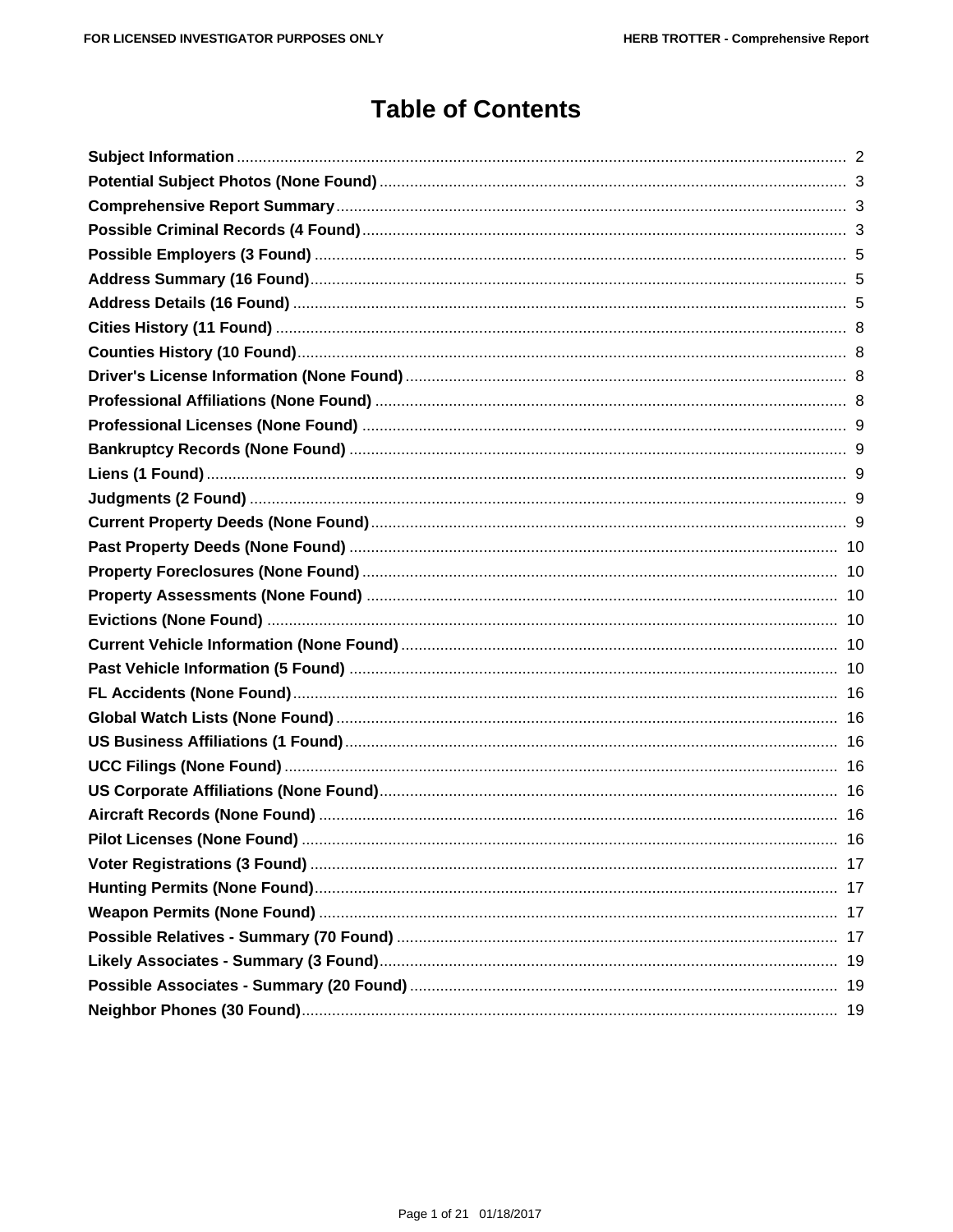# **Table of Contents**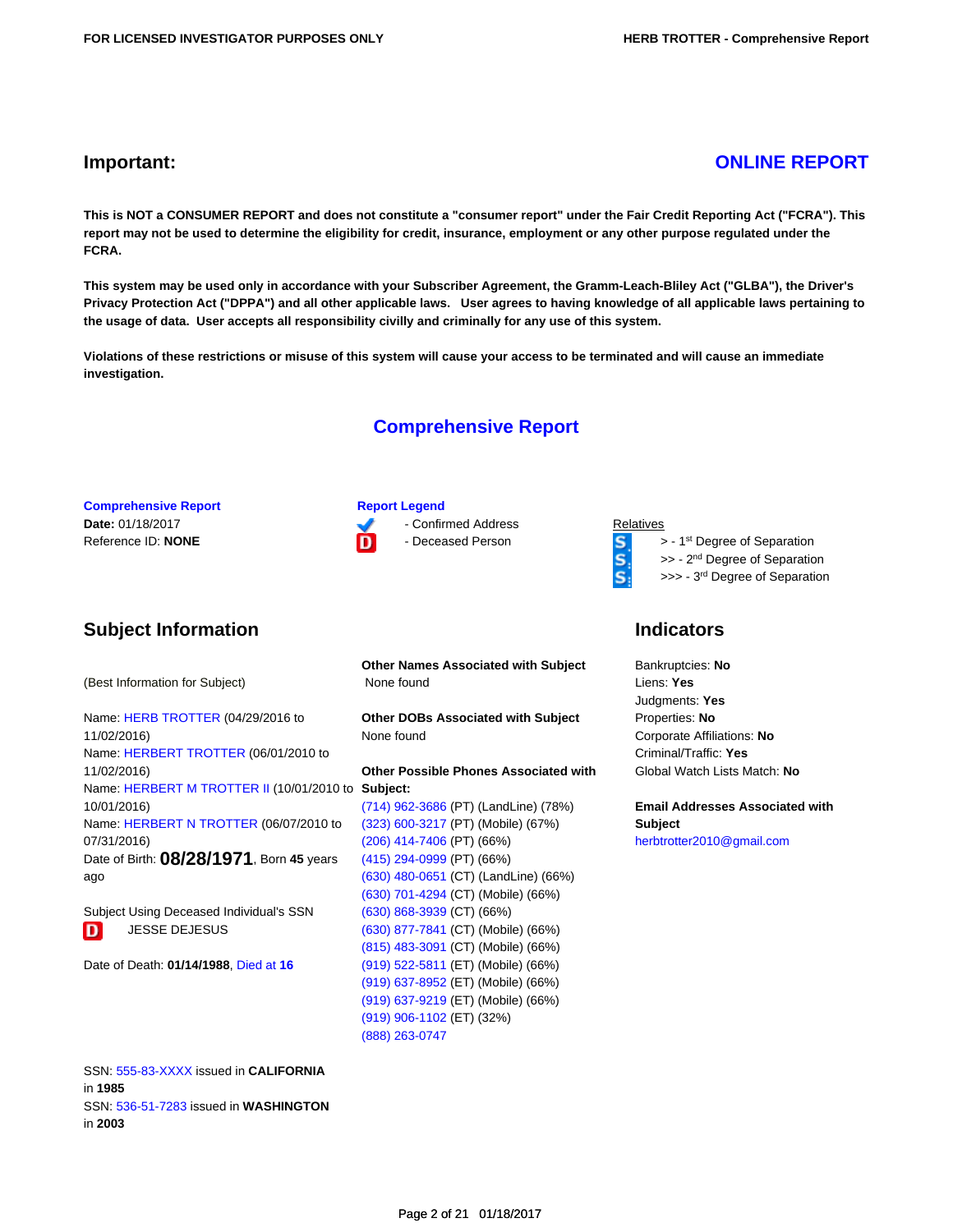## **Important: [ONLINE REPORT](https://tloxp.tlo.com/redir.php?u=eJwlyb0OgjAUQOGnkU0aQRxMGqPWwaFFtP6EjTQ3lCq9TVsV3l4TljN8R8fowpqQ%2BMLBpf%2BmCnsSoPFKp067TaNih5ZOksTRAd1j7zxosKH7wAl8QHuZtsQnWLpbZY%2F5eZnfE4tWARWyGoTh35IdMyHbvDbbUWQ3XbNDwdn1XbJ2IaQquKlmOfsBc%2F0zRA%3D%3D)**

**This is NOT a CONSUMER REPORT and does not constitute a "consumer report" under the Fair Credit Reporting Act ("FCRA"). This report may not be used to determine the eligibility for credit, insurance, employment or any other purpose regulated under the FCRA.**

**This system may be used only in accordance with your Subscriber Agreement, the Gramm-Leach-Bliley Act ("GLBA"), the Driver's Privacy Protection Act ("DPPA") and all other applicable laws. User agrees to having knowledge of all applicable laws pertaining to the usage of data. User accepts all responsibility civilly and criminally for any use of this system.**

**Violations of these restrictions or misuse of this system will cause your access to be terminated and will cause an immediate investigation.**

## **Comprehensive Report**

**Comprehensive Report Report Report Legend Date: 01/18/2017** - Confirmed Address Relatives

 $\mathbf{S}$ 

Reference ID: **NONE D** Deceased Person **S** > - 1<sup>st</sup> Degree of Separation **S** > - 2<sup>nd</sup> Degree of Separation >> - 2<sup>nd</sup> Degree of Separation

>>> - 3<sup>rd</sup> Degree of Separation

## **Indicators**

Bankruptcies: **No** Liens: **Yes** Judgments: **Yes** Properties: **No** Corporate Affiliations: **No** Criminal/Traffic: **Yes** Global Watch Lists Match: **No**

**Email Addresses Associated with Subject** [herbtrotter2010@gmail.com](https://tloxp.tlo.com/search.php?action=search&type=PersonSearch&sd%5B%5D=xos9kxvaOJcrdjbr7uDeUM8JJiXxRK78tN5B943D6J2Mc%2FaRK7xdhc9%2BMIbmBe8KupJr2XgVMIc6sYsh09U9cXUb8Y%2B%2FxPi77hn06ymPIk0kSe%2FZyjQVBSkeijus6MXXUrssTp6wBZAtSMBhMgNsZdfKCGwczWiJHmJ5setK5KE%3D&nonce=MTI5MzI2Njg1MjU4N2YwM2I0MGVjMTA0LjE2Mjc0NTA0)

## <span id="page-1-0"></span>**Subject Information**

(Best Information for Subject)

Name: [HERB TROTTER](https://tloxp.tlo.com/search.php?action=search&type=PersonSearch&sd%5B%5D=Tj5f1NzKdYjWEssxvThQmQqtInZXoGwCygqDh8Xvlt1Qq1JfPSuiJyKNOok%2FOVXqCtF%2BnHxSxw37uTzRZRK1LKHELRflcPmIhx%2BPReSLtKWkeHFKAuES%2BowkezUisobuvb0DuJo05s1PskyLwF9J6MHQYXNX2JohVlQKzolly8k%3D&nonce=MTI5MzI2Njg1MjU4N2YwM2I0MGVjMTA0LjE2Mjc0NTA0) (04/29/2016 to 11/02/2016) Name: [HERBERT TROTTER](https://tloxp.tlo.com/search.php?action=search&type=PersonSearch&sd%5B%5D=oDMxZ9LtM23hOVmJ32XUEIzIo6gROdT2XjpHDuz%2BzaIptWWk3x94YhuAHWqUxlLqQVJ7JOJzzSGArYeTyDTlejgK7QS5rEJKvn7PK8vLk%2BsnRGwORt6GUd%2B0f6ajoOw%2FU739NLCTPihKO6qDlA2rzWnQlXrIjIf4P92%2FIqGUexI%3D&nonce=MTI5MzI2Njg1MjU4N2YwM2I0MGVjMTA0LjE2Mjc0NTA0) (06/01/2010 to 11/02/2016) Name: [HERBERT M TROTTER II](https://tloxp.tlo.com/search.php?action=search&type=PersonSearch&sd%5B%5D=VVfJgPgskmrcjjlCRj5RF0UwwUmhaA9LXzoNcKTzvpii7X4fa2RbPlL3d4jUntC%2BGzixvDTV6YYxYAwvYxa4gRcBn8SZyhNXvT%2BDqPzMd7l8lWOEkeqe1wtm976XO5alSa4bHMSBNB1tmuXZNIK%2FDsmLDlznOR8jW475yLFogmY%3D&nonce=MTI5MzI2Njg1MjU4N2YwM2I0MGVjMTA0LjE2Mjc0NTA0) (10/01/2010 to **Subject:** 10/01/2016) Name: [HERBERT N TROTTER](https://tloxp.tlo.com/search.php?action=search&type=PersonSearch&sd%5B%5D=hfNJNdGb28DqHDU1NP5hKAnLfJ03hv%2F4Zju1EvHgNvmEiZHO5vFh3Dfp26iPPVXNmg3SS9y1f3JFyeX%2BRFreT%2FkeGNZrt1l77rlbx%2F63IGFdnCq8e1IQJesdKVyVjeuTVOnasABaomxQ8nmOxRGEegrLIafbJ7XIoYIJEC%2FdQxg%3D&nonce=MTI5MzI2Njg1MjU4N2YwM2I0MGVjMTA0LjE2Mjc0NTA0) (06/07/2010 to 07/31/2016) Date of Birth: **08/28/1971**, Born **45** years ago

Subject Using Deceased Individual's SSN D JESSE DEJESUS

Date of Death: **01/14/1988**, [Died at](https://tloxp.tlo.com/search.php?action=search&type=DeathMasterSearch&nonce=MTI5MzI2Njg1MjU4N2YwM2I0MGVjMTA0LjE2Mjc0NTA0&Token=aXpvKOxXNwfvx1CN%2BJeWIMA%3D%3D) **[16](https://tloxp.tlo.com/search.php?action=search&type=DeathMasterSearch&nonce=MTI5MzI2Njg1MjU4N2YwM2I0MGVjMTA0LjE2Mjc0NTA0&Token=aXpvKOxXNwfvx1CN%2BJeWIMA%3D%3D)**

**Other Names Associated with Subject** None found

**Other DOBs Associated with Subject** None found

**Other Possible Phones Associated with**

[\(714\) 962-3686](https://tloxp.tlo.com/search.php?action=search&type=PersonSearch&sd%5B%5D=flkf7WENs8steWmMRAB395xImLPTX1g2gUMnK3v4L2fUGoZIeTGmwFYAdtfSV0cW6EScPTgQ%2F%2FE8Z0IpgIMXiHo5IQzy8FpBC%2BtnGdsJ5BDnaAJP0gVCwJ%2B5HVls1Zf5wcWFcjciALZNwsShM3ppGl09oHTTm9XJqI4t3dmbkj0%3D&nonce=MTI5MzI2Njg1MjU4N2YwM2I0MGVjMTA0LjE2Mjc0NTA0) (PT) (LandLine) (78%) [\(323\) 600-3217](https://tloxp.tlo.com/search.php?action=search&type=PersonSearch&sd%5B%5D=T0ov%2BSYbRHBcqO6VrIBRU0j8CikQW3ZaIVCC0bVv6UW9WGLww4t4Omm4JOgMlWCwcGKg%2BaKplLjNJIDuhh5gFKUaJFwatGgHl0rVqMJSNXJAoqCm2dsIkDmjBvFW6I9NhmBrT095DUJcRVAJ9D5%2B5uKbLzriG4VTSI4fB%2F%2Bdcb0%3D&nonce=MTI5MzI2Njg1MjU4N2YwM2I0MGVjMTA0LjE2Mjc0NTA0) (PT) (Mobile) (67%) [\(206\) 414-7406](https://tloxp.tlo.com/search.php?action=search&type=PersonSearch&sd%5B%5D=OU0mOgT1e%2BLySKdWWkr094dQYDogm%2F%2FdvfUmeVzqXBrMfCHwQaokebVbbZOGQHeJclOBH%2Fm5G2eXxvhlwDhQQ%2FLxj%2B76Jzb5xt41EOGkPJ7ApbyiJ7zq4vdaA2MvmGf7MQWf5SQ8C2kZjokQs8KtBGfoG7lB61NSMhE8Ncqv0V8%3D&nonce=MTI5MzI2Njg1MjU4N2YwM2I0MGVjMTA0LjE2Mjc0NTA0) (PT) (66%) [\(415\) 294-0999](https://tloxp.tlo.com/search.php?action=search&type=PersonSearch&sd%5B%5D=Ny46dFQvfeDnRlp4TDV47HP9Q5WTqZjGMOzPiM2%2B1DhtO6WxCmJRuOrrzSDUOzRJhHBOktFYUePCj%2FRq4KeJKHSlN1tnUD4FpajN%2Fc3sIZSYCLNtXipeo%2BhY8bCdYFmI8Uo%2BaycfudkZTqvDP73xzuldDM2VCmmJ5sj6AF9HrXY%3D&nonce=MTI5MzI2Njg1MjU4N2YwM2I0MGVjMTA0LjE2Mjc0NTA0) (PT) (66%) [\(630\) 480-0651](https://tloxp.tlo.com/search.php?action=search&type=PersonSearch&sd%5B%5D=EeQEVV9wMCFoI6COTWU0L7nX%2BvR%2BxYX2XV%2FV9hZRHdrObNIN1dMzkS%2B6ZPzsC1moulrW7UkWzfaX9fVtwrU1nNvhbqFYL7n7E2EqODfAQ6sd7zx3UYccco2ryAYiDEYxibo04EZv7Qd60pYZ%2FkKW5OaaIdFJ8ATFjynjgpOZrXQ%3D&nonce=MTI5MzI2Njg1MjU4N2YwM2I0MGVjMTA0LjE2Mjc0NTA0) (CT) (LandLine) (66%) [\(630\) 701-4294](https://tloxp.tlo.com/search.php?action=search&type=PersonSearch&sd%5B%5D=VENY%2BGcwpbl1nHs%2BOWXaMrshnqj2KU0piQJ8H39n%2BWZ8fWCTOyX4aLswC0qTQstWlQ9TiyZMFmxOugH%2FD391WNB80C%2Bs8Cg0Tl6wezlCRJjFlsjLnqNAUPYu9Rth2LWc0QlwV8xTPfz2dfr9MCyXnhatiFsLrxDUWcBAnD89dfw%3D&nonce=MTI5MzI2Njg1MjU4N2YwM2I0MGVjMTA0LjE2Mjc0NTA0) (CT) (Mobile) (66%) [\(630\) 868-3939](https://tloxp.tlo.com/search.php?action=search&type=PersonSearch&sd%5B%5D=dxZ615Xbpzcd1G%2BwVje1QHVeIaqY7Lr9soaMLcDBMyI%2BEEJy2jNx%2FPeI8mxaS1bQw8Bmn3EzJPo9QqXP7ivkmaaZxLbcn7ovXyFhoznQO5Ekejr8LctgF6tKVd6kDqSOFJkbRNR7grP8NYdkm4Dw0IqLHPrRkvDiAM0GCNCltOk%3D&nonce=MTI5MzI2Njg1MjU4N2YwM2I0MGVjMTA0LjE2Mjc0NTA0) (CT) (66%) [\(630\) 877-7841](https://tloxp.tlo.com/search.php?action=search&type=PersonSearch&sd%5B%5D=H0b86v4%2FIQL19oFbVIC3a0QMLb8n7TUF0q1zbjLcK61xV1EJN3qyBKHoEE8XuY0%2BkuM3xELOQWrFOAbJa48xs0Khaqdk4SkwzAamQbnC%2FuCDGe1axAZzCqBAb8JNSMiV%2F2IgQ0V4sZQ5zYiozLIT1EOOtNjR190hPKKN7NnrK5A%3D&nonce=MTI5MzI2Njg1MjU4N2YwM2I0MGVjMTA0LjE2Mjc0NTA0) (CT) (Mobile) (66%) [\(815\) 483-3091](https://tloxp.tlo.com/search.php?action=search&type=PersonSearch&sd%5B%5D=MW3Pnl3J5iUX0oJnnL0%2BcFkeH6Jiv%2FFyHt8TWJdsAUz%2B%2Fi45SNZnNUikDqSzdxdCsPHy0p93K8butM6rluBFgQroJZXLrsmyo4%2FNPUAkEeyYy%2FVfvIvuxvsbBNN1XDyWI0ZE6MRkmHnrAowcXmBTq%2Fe6k6U2nW23D95h2FWW6q8%3D&nonce=MTI5MzI2Njg1MjU4N2YwM2I0MGVjMTA0LjE2Mjc0NTA0) (CT) (Mobile) (66%) [\(919\) 522-5811](https://tloxp.tlo.com/search.php?action=search&type=PersonSearch&sd%5B%5D=cGUysa1N3743VQgjGTXgMnt7ZhU0fe7UK32b7z4sgPA34b05cOgT8Ut%2FomHPPJFoYhXTdKWIPub4Kc3%2FwobeMgTAdebww4Av1%2BV%2BlqBLtyQU6lW0DLv8PZ%2BBaZdGCLGWC3RpcfCkS0jos3WuOPKcGkZuxqBxki6ODqEb3BmghTA%3D&nonce=MTI5MzI2Njg1MjU4N2YwM2I0MGVjMTA0LjE2Mjc0NTA0) (ET) (Mobile) (66%) [\(919\) 637-8952](https://tloxp.tlo.com/search.php?action=search&type=PersonSearch&sd%5B%5D=IGraa5BVG1CAIznS5frYYUtxVS0w%2FJaPjJ4ImojrGH5wkLCpxri1iv75qRt1mc6S75N67ecVUc%2FXx%2BFKnoNGTOoD4I3rWXMs8Uw%2BSRz4IG4tevruY6MzE%2BJdnhFtYcBzaAOBsQ8RblOWql5bZUeUoPQaRpcl7byrKgDqYaKXaQU%3D&nonce=MTI5MzI2Njg1MjU4N2YwM2I0MGVjMTA0LjE2Mjc0NTA0) (ET) (Mobile) (66%) [\(919\) 637-9219](https://tloxp.tlo.com/search.php?action=search&type=PersonSearch&sd%5B%5D=tL9IwJsUiM5oM3lp%2BofquEDjibwfMuHu78FszwxgAXDRrZb3ZotNi1vJV9u6%2FNToPOGRF4AZtihBrGKNjN3TTuQr0lX7aNziVyvOl8KGBXVhYcbq%2BACwZPx7P%2B8Adc6KpBc9WnZOmCCuqp1%2BR7Uz5TaVxZJtbGq38ToiXy790XI%3D&nonce=MTI5MzI2Njg1MjU4N2YwM2I0MGVjMTA0LjE2Mjc0NTA0) (ET) (Mobile) (66%) [\(919\) 906-1102](https://tloxp.tlo.com/search.php?action=search&type=PersonSearch&sd%5B%5D=PqbkaInxHycdMHI%2B3mgKBosgxCbzKqeGGexpEj0jgCV50slU9kXvbLm7r%2BEYYn%2B6Ff6sMayyj860HivGpBg2qZMf9KScbr%2F%2FQZVL2daL%2F1Z0fPlNtT4J4x6dfop%2FMSE49hKZ4%2BHpk5DtmmsaxVq8%2F4MKMbGEd3e6%2F4WHmHdl72c%3D&nonce=MTI5MzI2Njg1MjU4N2YwM2I0MGVjMTA0LjE2Mjc0NTA0) (ET) (32%) [\(888\) 263-0747](https://tloxp.tlo.com/search.php?action=search&type=PersonSearch&sd%5B%5D=TxughgCeYnVEtjVmBeomXE9gWWmQ%2BQMJj9nmZlPC1N2tYtEM%2FqodVYRQAM%2FS6E%2B3sSgl7NxP0jLWYSAC7EhFHIJFAIP%2BqmGQ6YE0JyauKYStcI8Lev34WufsZT5O6dqY%2FbCGVCVtWV02Pdim6ft435QMN0H%2Fe59Zr02%2Ff8S%2FM%2Fo%3D&nonce=MTI5MzI2Njg1MjU4N2YwM2I0MGVjMTA0LjE2Mjc0NTA0)

SSN: [555-83-XXXX](https://tloxp.tlo.com/search.php?action=search&type=PersonSearch&sd%5B%5D=STYFckj5xNAsbyQHFNu%2B1noeY5yl7AJoxFrLGH3HAbEuiH%2BWsABzTQN%2F0Z13S9a%2BRZRKEd5zAz8ZjxbkygH439fCGPbfTmZCIymVIwk6ZjVD03VPfwecmF45dM9yZqupqwWhH%2FVwlLCq%2FJwxjWtgTtsv%2FkgZqF7cgczaGJ78U%2Fo%3D&nonce=MTI5MzI2Njg1MjU4N2YwM2I0MGVjMTA0LjE2Mjc0NTA0) issued in **CALIFORNIA** in **1985** SSN: [536-51-7283](https://tloxp.tlo.com/search.php?action=search&type=PersonSearch&sd%5B%5D=pa2%2FYnN%2Fnjz8qBf8s58AvaQT8vCKIqGDFBsLHIgBwUbxu3CbOSsgLfZmTZiX1BROTf9bYzDJ469JByzu3JEWm8OwCyaHpCKEdARTG%2BkZc%2BGiaBmABXmVaJ%2B8GLeZGj6c3am18FsG%2FAY07s9Ins28W%2FOEaeNXB%2FD9ZagQS4hd%2FQY%3D&nonce=MTI5MzI2Njg1MjU4N2YwM2I0MGVjMTA0LjE2Mjc0NTA0) issued in **WASHINGTON** in **2003**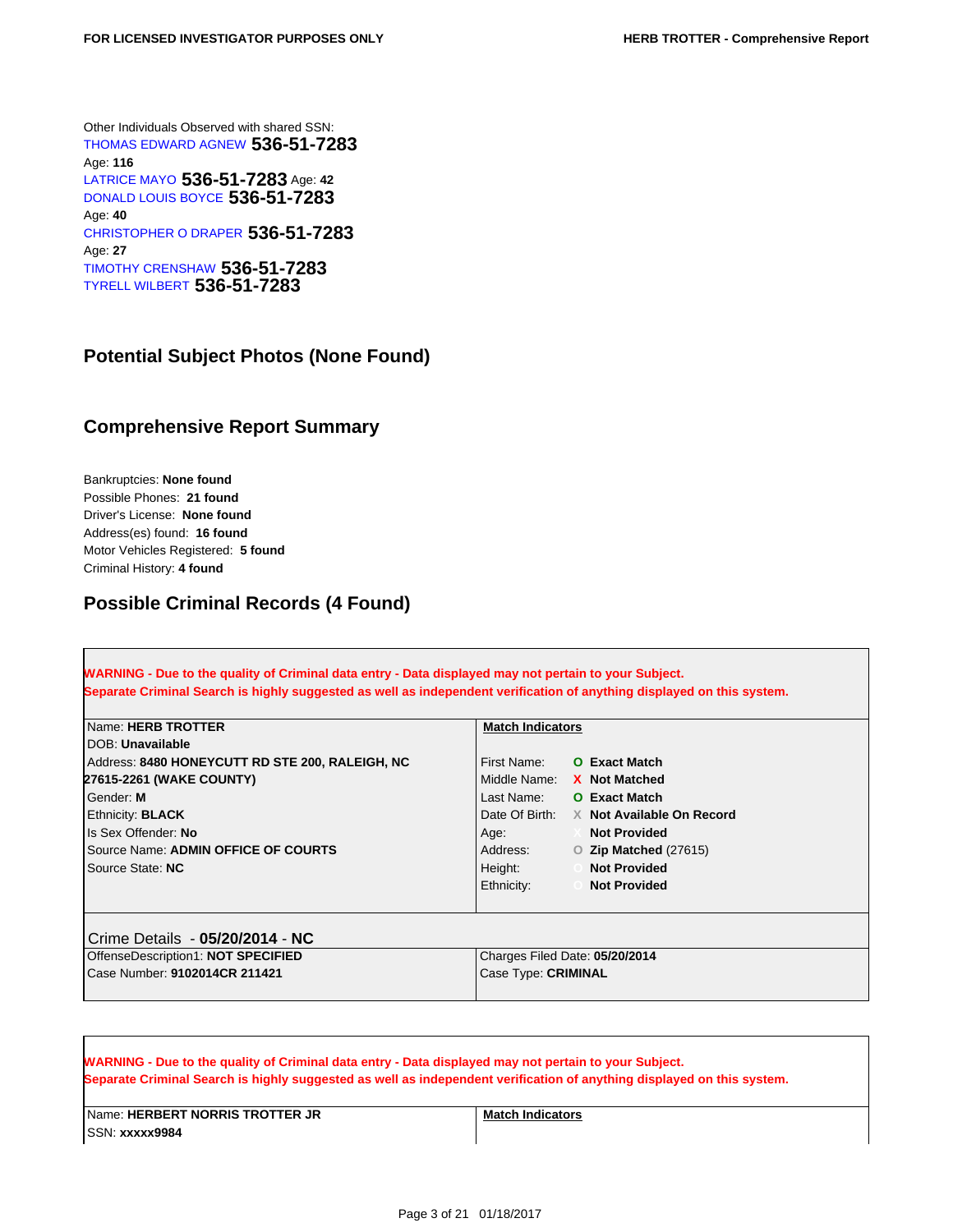Other Individuals Observed with shared SSN: [THOMAS EDWARD AGNEW](https://tloxp.tlo.com/search.php?action=search&type=PersonSearch&nonce=MTI5MzI2Njg1MjU4N2YwM2I0MGVjMTA0LjE2Mjc0NTA0&Token=G9TH-5R3T) **536-51-7283** Age: **116** [LATRICE MAYO](https://tloxp.tlo.com/search.php?action=search&type=PersonSearch&nonce=MTI5MzI2Njg1MjU4N2YwM2I0MGVjMTA0LjE2Mjc0NTA0&Token=PDK6-WY3H) **536-51-7283** Age: **<sup>42</sup>** [DONALD LOUIS BOYCE](https://tloxp.tlo.com/search.php?action=search&type=PersonSearch&nonce=MTI5MzI2Njg1MjU4N2YwM2I0MGVjMTA0LjE2Mjc0NTA0&Token=TXXR-VN3B) **536-51-7283** Age: **40** [CHRISTOPHER O DRAPER](https://tloxp.tlo.com/search.php?action=search&type=PersonSearch&nonce=MTI5MzI2Njg1MjU4N2YwM2I0MGVjMTA0LjE2Mjc0NTA0&Token=NNMN-9C3V) **536-51-7283** Age: **27** [TIMOTHY CRENSHAW](https://tloxp.tlo.com/search.php?action=search&type=PersonSearch&nonce=MTI5MzI2Njg1MjU4N2YwM2I0MGVjMTA0LjE2Mjc0NTA0&Token=PNP2-9X4T) **536-51-7283** [TYRELL WILBERT](https://tloxp.tlo.com/search.php?action=search&type=PersonSearch&nonce=MTI5MzI2Njg1MjU4N2YwM2I0MGVjMTA0LjE2Mjc0NTA0&Token=GYDK-KN12) **536-51-7283**

## <span id="page-2-0"></span>**Potential Subject Photos (None Found)**

## <span id="page-2-1"></span>**Comprehensive Report Summary**

Bankruptcies: **None found** Possible Phones: **21 found** Driver's License: **None found** Address(es) found: **16 found** Motor Vehicles Registered: **5 found** Criminal History: **4 found**

## <span id="page-2-2"></span>**Possible Criminal Records (4 Found)**

**WARNING - Due to the quality of Criminal data entry - Data displayed may not pertain to your Subject. Separate Criminal Search is highly suggested as well as independent verification of anything displayed on this system.**

| Name: HERB TROTTER                              | <b>Match Indicators</b>                  |  |  |
|-------------------------------------------------|------------------------------------------|--|--|
| <b>IDOB: Unavailable</b>                        |                                          |  |  |
| Address: 8480 HONEYCUTT RD STE 200, RALEIGH, NC | <b>O</b> Exact Match<br>First Name:      |  |  |
| 27615-2261 (WAKE COUNTY)                        | Middle Name: X Not Matched               |  |  |
| Gender: M                                       | Last Name:<br><b>O</b> Exact Match       |  |  |
| <b>Ethnicity: BLACK</b>                         | Date Of Birth: X Not Available On Record |  |  |
| Is Sex Offender: No                             | <b>Not Provided</b><br>Age:              |  |  |
| Source Name: ADMIN OFFICE OF COURTS             | Address:<br>$O$ Zip Matched (27615)      |  |  |
| Source State: NC                                | Height:<br><b>Not Provided</b>           |  |  |
|                                                 | Ethnicity:<br><b>Not Provided</b>        |  |  |
|                                                 |                                          |  |  |
|                                                 |                                          |  |  |
| Crime Details - 05/20/2014 - NC                 |                                          |  |  |
| OffenseDescription1: NOT SPECIFIED              | Charges Filed Date: 05/20/2014           |  |  |
| Case Number: 9102014CR 211421                   | Case Type: CRIMINAL                      |  |  |
|                                                 |                                          |  |  |

| <b>WARNING - Due to the quality of Criminal data entry - Data displayed may not pertain to your Subject.</b><br>Separate Criminal Search is highly suggested as well as independent verification of anything displayed on this system. |                         |  |  |
|----------------------------------------------------------------------------------------------------------------------------------------------------------------------------------------------------------------------------------------|-------------------------|--|--|
| Name: <b>HERBERT NORRIS TROTTER JR</b><br>ISSN: <b>xxxxx9984</b>                                                                                                                                                                       | <b>Match Indicators</b> |  |  |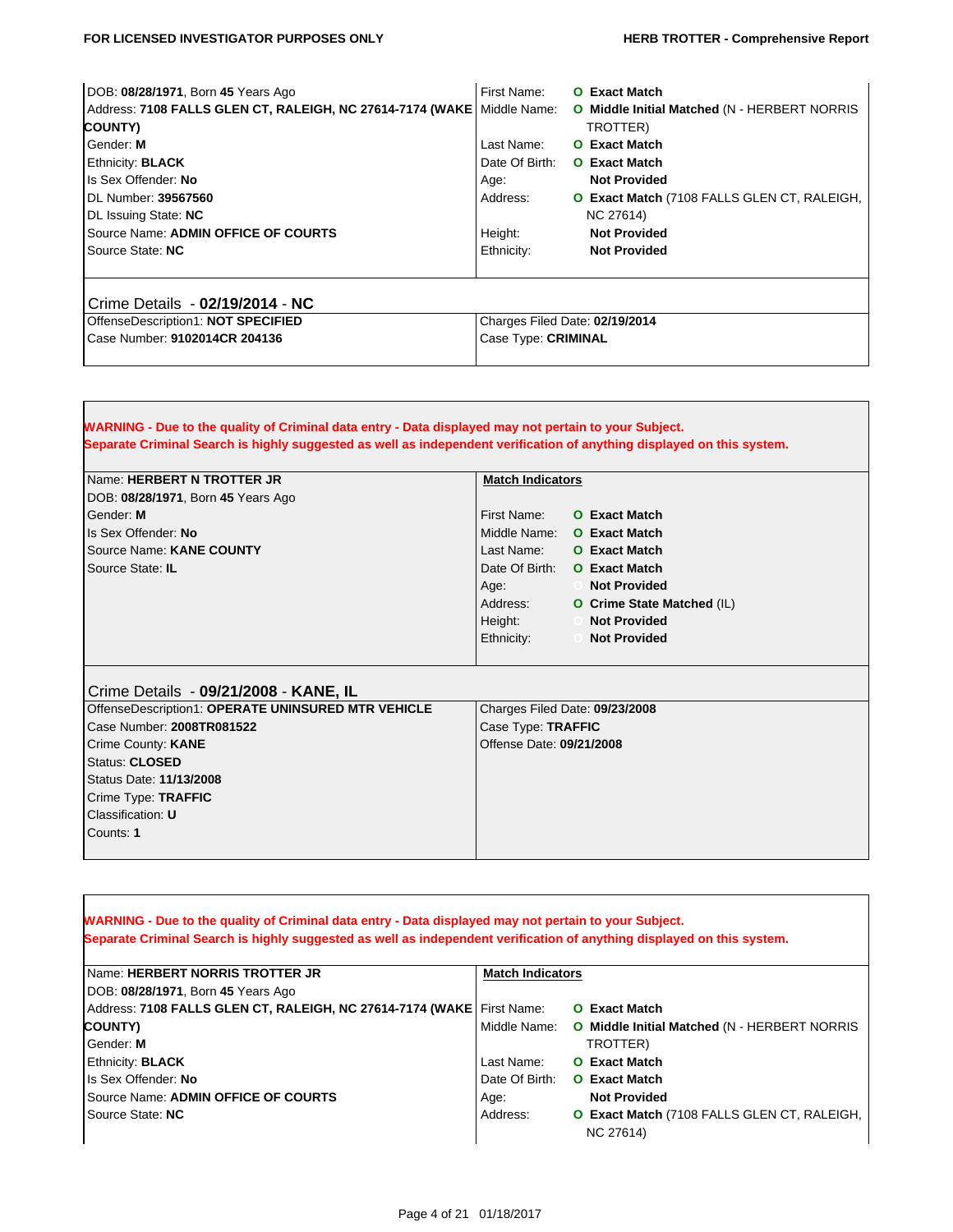#### **FOR LICENSED INVESTIGATOR PURPOSES ONLY <b>HERB TROTTER** - Comprehensive Report

Г

| DOB: 08/28/1971, Born 45 Years Ago                                       | First Name:                    | <b>O</b> Exact Match                         |  |
|--------------------------------------------------------------------------|--------------------------------|----------------------------------------------|--|
| Address: 7108 FALLS GLEN CT, RALEIGH, NC 27614-7174 (WAKE   Middle Name: |                                | O Middle Initial Matched (N - HERBERT NORRIS |  |
| COUNTY)                                                                  |                                | TROTTER)                                     |  |
| Gender: M                                                                | Last Name:                     | <b>O</b> Exact Match                         |  |
| Ethnicity: <b>BLACK</b>                                                  | Date Of Birth:                 | <b>O</b> Exact Match                         |  |
| Is Sex Offender: No                                                      | Age:                           | <b>Not Provided</b>                          |  |
| DL Number: 39567560                                                      | Address:                       | O Exact Match (7108 FALLS GLEN CT, RALEIGH,  |  |
| DL Issuing State: NC                                                     |                                | NC 27614)                                    |  |
| Source Name: ADMIN OFFICE OF COURTS                                      | Height:                        | <b>Not Provided</b>                          |  |
| Source State: NC                                                         | Ethnicity:                     | <b>Not Provided</b>                          |  |
|                                                                          |                                |                                              |  |
|                                                                          |                                |                                              |  |
| Crime Details - 02/19/2014 - NC                                          |                                |                                              |  |
| OffenseDescription1: NOT SPECIFIED                                       | Charges Filed Date: 02/19/2014 |                                              |  |
| Case Number: 9102014CR 204136                                            | Case Type: CRIMINAL            |                                              |  |
|                                                                          |                                |                                              |  |

,我们也不会有什么。""我们的人,我们也不会有什么?""我们的人,我们也不会有什么?""我们的人,我们也不会有什么?""我们的人,我们也不会有什么?""我们的人

| <b>WARNING</b> - Due to the quality of Criminal data entry - Data displayed may not pertain to your Subject.<br>Separate Criminal Search is highly suggested as well as independent verification of anything displayed on this system. |                                                                                                                                                                                                                                                                                                                                          |  |
|----------------------------------------------------------------------------------------------------------------------------------------------------------------------------------------------------------------------------------------|------------------------------------------------------------------------------------------------------------------------------------------------------------------------------------------------------------------------------------------------------------------------------------------------------------------------------------------|--|
| Name: HERBERT N TROTTER JR<br>DOB: 08/28/1971, Born 45 Years Ago<br>Gender: M<br>Is Sex Offender: No<br>Source Name: KANE COUNTY<br>Source State: IL                                                                                   | <b>Match Indicators</b><br>First Name:<br><b>O</b> Exact Match<br>Middle Name:<br><b>O</b> Exact Match<br><b>O</b> Exact Match<br>Last Name:<br>Date Of Birth: O Exact Match<br><b>Not Provided</b><br>Age:<br>$\sim$ 0<br>Address:<br>O Crime State Matched (IL)<br>Height:<br><b>Not Provided</b><br>Ethnicity:<br><b>Not Provided</b> |  |
| Crime Details - 09/21/2008 - KANE, IL                                                                                                                                                                                                  |                                                                                                                                                                                                                                                                                                                                          |  |
| OffenseDescription1: OPERATE UNINSURED MTR VEHICLE                                                                                                                                                                                     | Charges Filed Date: 09/23/2008                                                                                                                                                                                                                                                                                                           |  |
| Case Number: 2008TR081522<br>Crime County: KANE                                                                                                                                                                                        | Case Type: TRAFFIC<br>Offense Date: 09/21/2008                                                                                                                                                                                                                                                                                           |  |
| Status: CLOSED                                                                                                                                                                                                                         |                                                                                                                                                                                                                                                                                                                                          |  |
| Status Date: 11/13/2008                                                                                                                                                                                                                |                                                                                                                                                                                                                                                                                                                                          |  |
| Crime Type: TRAFFIC                                                                                                                                                                                                                    |                                                                                                                                                                                                                                                                                                                                          |  |
| Classification: U                                                                                                                                                                                                                      |                                                                                                                                                                                                                                                                                                                                          |  |
| Counts: 1                                                                                                                                                                                                                              |                                                                                                                                                                                                                                                                                                                                          |  |

| MARNING - Due to the quality of Criminal data entry - Data displayed may not pertain to your Subject.                  |                         |                                                     |  |
|------------------------------------------------------------------------------------------------------------------------|-------------------------|-----------------------------------------------------|--|
| Separate Criminal Search is highly suggested as well as independent verification of anything displayed on this system. |                         |                                                     |  |
|                                                                                                                        |                         |                                                     |  |
| <b>Name: HERBERT NORRIS TROTTER JR</b>                                                                                 | <b>Match Indicators</b> |                                                     |  |
| DOB: 08/28/1971, Born 45 Years Ago                                                                                     |                         |                                                     |  |
| Address: 7108 FALLS GLEN CT, RALEIGH, NC 27614-7174 (WAKE   First Name:                                                |                         | <b>O</b> Exact Match                                |  |
| COUNTY)                                                                                                                | Middle Name:            | <b>O</b> Middle Initial Matched (N - HERBERT NORRIS |  |
| Gender: M                                                                                                              |                         | TROTTER)                                            |  |
| Ethnicity: <b>BLACK</b>                                                                                                | Last Name:              | <b>O</b> Exact Match                                |  |
| Is Sex Offender: No                                                                                                    | Date Of Birth:          | <b>O</b> Exact Match                                |  |
| Source Name: ADMIN OFFICE OF COURTS                                                                                    | Age:                    | <b>Not Provided</b>                                 |  |
| Source State: NC                                                                                                       | Address:                | <b>O Exact Match (7108 FALLS GLEN CT, RALEIGH,</b>  |  |
|                                                                                                                        |                         | NC 27614)                                           |  |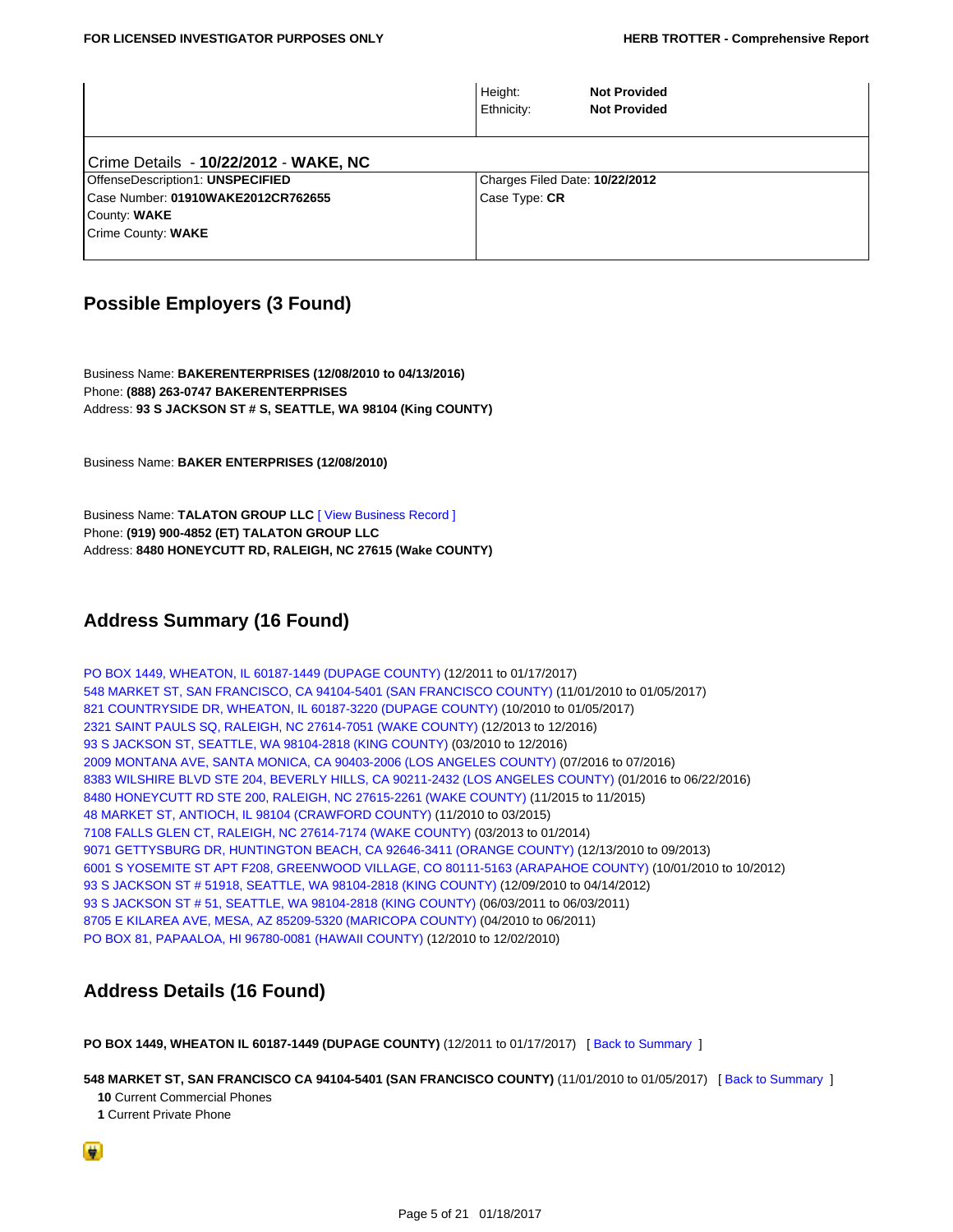|                                       | Height:<br>Ethnicity:          | <b>Not Provided</b><br><b>Not Provided</b> |
|---------------------------------------|--------------------------------|--------------------------------------------|
| Crime Details - 10/22/2012 - WAKE, NC |                                |                                            |
| OffenseDescription1: UNSPECIFIED      | Charges Filed Date: 10/22/2012 |                                            |
| Case Number: 01910WAKE2012CR762655    | Case Type: CR                  |                                            |
| County: WAKE                          |                                |                                            |
| Crime County: WAKE                    |                                |                                            |
|                                       |                                |                                            |

## <span id="page-4-0"></span>**Possible Employers (3 Found)**

Business Name: **BAKERENTERPRISES (12/08/2010 to 04/13/2016)** Phone: **(888) 263-0747 BAKERENTERPRISES** Address: **93 S JACKSON ST # S, SEATTLE, WA 98104 (King COUNTY)**

Business Name: **BAKER ENTERPRISES (12/08/2010)**

Business Name: **TALATON GROUP LLC** [\[ View Business Record \]](https://tloxp.tlo.com/search.php?action=search&type=FullBusinessSearch&nonce=MTI5MzI2Njg1MjU4N2YwM2I0MGVjMTA0LjE2Mjc0NTA0&BusinessToken=bKFwHxn5KFqwOJsLuaVEJRmbqxQdv6ypqGb2uvtyydwE%3D) Phone: **(919) 900-4852 (ET) TALATON GROUP LLC** Address: **8480 HONEYCUTT RD, RALEIGH, NC 27615 (Wake COUNTY)**

## <span id="page-4-1"></span>**Address Summary (16 Found)**

<span id="page-4-14"></span><span id="page-4-13"></span><span id="page-4-12"></span><span id="page-4-11"></span><span id="page-4-10"></span><span id="page-4-9"></span><span id="page-4-8"></span><span id="page-4-7"></span><span id="page-4-5"></span>[PO BOX 1449, WHEATON, IL 60187-1449 \(DUPAGE COUNTY\)](#page-4-6) (12/2011 to 01/17/2017) [548 MARKET ST, SAN FRANCISCO, CA 94104-5401 \(SAN FRANCISCO COUNTY\)](#page-4-3) (11/01/2010 to 01/05/2017) [821 COUNTRYSIDE DR, WHEATON, IL 60187-3220 \(DUPAGE COUNTY\)](#page-4-4) (10/2010 to 01/05/2017) [2321 SAINT PAULS SQ, RALEIGH, NC 27614-7051 \(WAKE COUNTY\)](#page-5-0) (12/2013 to 12/2016) [93 S JACKSON ST, SEATTLE, WA 98104-2818 \(KING COUNTY\)](#page-5-1) (03/2010 to 12/2016) [2009 MONTANA AVE, SANTA MONICA, CA 90403-2006 \(LOS ANGELES COUNTY\)](#page-5-2) (07/2016 to 07/2016) [8383 WILSHIRE BLVD STE 204, BEVERLY HILLS, CA 90211-2432 \(LOS ANGELES COUNTY\)](#page-5-3) (01/2016 to 06/22/2016) [8480 HONEYCUTT RD STE 200, RALEIGH, NC 27615-2261 \(WAKE COUNTY\)](#page-5-4) (11/2015 to 11/2015) [48 MARKET ST, ANTIOCH, IL 98104 \(CRAWFORD COUNTY\)](#page-5-5) (11/2010 to 03/2015) [7108 FALLS GLEN CT, RALEIGH, NC 27614-7174 \(WAKE COUNTY\)](#page-6-0) (03/2013 to 01/2014) [9071 GETTYSBURG DR, HUNTINGTON BEACH, CA 92646-3411 \(ORANGE COUNTY\)](#page-6-1) (12/13/2010 to 09/2013) [6001 S YOSEMITE ST APT F208, GREENWOOD VILLAGE, CO 80111-5163 \(ARAPAHOE COUNTY\)](#page-6-2) (10/01/2010 to 10/2012) [93 S JACKSON ST # 51918, SEATTLE, WA 98104-2818 \(KING COUNTY\)](#page-6-3) (12/09/2010 to 04/14/2012) [93 S JACKSON ST # 51, SEATTLE, WA 98104-2818 \(KING COUNTY\)](#page-6-4) (06/03/2011 to 06/03/2011) [8705 E KILAREA AVE, MESA, AZ 85209-5320 \(MARICOPA COUNTY\)](#page-7-4) (04/2010 to 06/2011) [PO BOX 81, PAPAALOA, HI 96780-0081 \(HAWAII COUNTY\)](#page-7-5) (12/2010 to 12/02/2010)

## <span id="page-4-21"></span><span id="page-4-20"></span><span id="page-4-19"></span><span id="page-4-18"></span><span id="page-4-17"></span><span id="page-4-16"></span><span id="page-4-15"></span><span id="page-4-2"></span>**Address Details (16 Found)**

<span id="page-4-6"></span>**PO BOX 1449, WHEATON IL 60187-1449 (DUPAGE COUNTY)** (12/2011 to 01/17/2017) [\[ Back to Summary](#page-4-5) ]

<span id="page-4-3"></span>**548 MARKET ST, SAN FRANCISCO CA 94104-5401 (SAN FRANCISCO COUNTY)** (11/01/2010 to 01/05/2017) [ [Back to Summary](#page-4-7) ]

 **10** Current Commercial Phones

 **1** Current Private Phone

<span id="page-4-4"></span>۳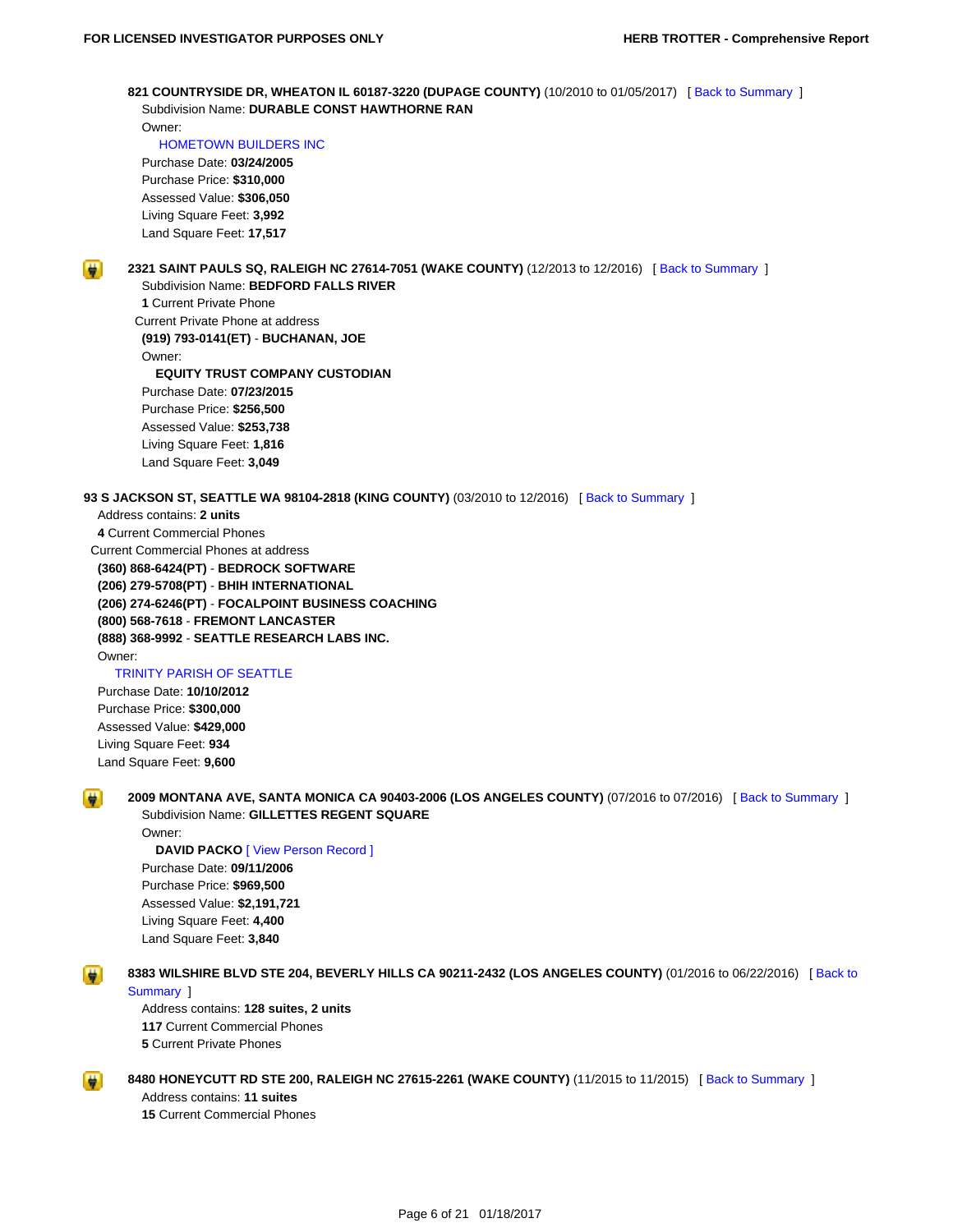**821 COUNTRYSIDE DR, WHEATON IL 60187-3220 (DUPAGE COUNTY)** (10/2010 to 01/05/2017) [\[ Back to Summary](#page-4-8) ] Subdivision Name: **DURABLE CONST HAWTHORNE RAN**

 Owner:  [HOMETOWN BUILDERS INC](https://tloxp.tlo.com/search.php?action=search&type=FullBusinessSearch&nonce=MTI5MzI2Njg1MjU4N2YwM2I0MGVjMTA0LjE2Mjc0NTA0&BusinessToken=bKFwHxn5KFqwOJsLuaVEJRoS8vbfaXZwIpKzB7ZvYpZo%3D)

 Purchase Date: **03/24/2005** Purchase Price: **\$310,000** Assessed Value: **\$306,050** Living Square Feet: **3,992** Land Square Feet: **17,517**

<span id="page-5-0"></span>

**2321 SAINT PAULS SQ, RALEIGH NC 27614-7051 (WAKE COUNTY)** (12/2013 to 12/2016) [ [Back to Summary](#page-4-9) ] Subdivision Name: **BEDFORD FALLS RIVER**

 **1** Current Private Phone Current Private Phone at address  **(919) 793-0141(ET)** - **BUCHANAN, JOE** Owner:  **EQUITY TRUST COMPANY CUSTODIAN** Purchase Date: **07/23/2015** Purchase Price: **\$256,500** Assessed Value: **\$253,738** Living Square Feet: **1,816**

Land Square Feet: **3,049**

<span id="page-5-1"></span>**93 S JACKSON ST, SEATTLE WA 98104-2818 (KING COUNTY)** (03/2010 to 12/2016) [\[ Back to Summary](#page-4-10) ]

 Address contains: **2 units 4** Current Commercial Phones Current Commercial Phones at address  **(360) 868-6424(PT)** - **BEDROCK SOFTWARE (206) 279-5708(PT)** - **BHIH INTERNATIONAL (206) 274-6246(PT)** - **FOCALPOINT BUSINESS COACHING (800) 568-7618** - **FREMONT LANCASTER (888) 368-9992** - **SEATTLE RESEARCH LABS INC.**

Owner:

<span id="page-5-2"></span>н

<span id="page-5-3"></span>₩

#### [TRINITY PARISH OF SEATTLE](https://tloxp.tlo.com/search.php?action=search&type=FullBusinessSearch&nonce=MTI5MzI2Njg1MjU4N2YwM2I0MGVjMTA0LjE2Mjc0NTA0&BusinessToken=bKFwHxn5KFqwOJsLuaVEJRgtF3jalxs3nrUOlV1Ubvrs%3D)

 Purchase Date: **10/10/2012** Purchase Price: **\$300,000** Assessed Value: **\$429,000** Living Square Feet: **934** Land Square Feet: **9,600**

**2009 MONTANA AVE, SANTA MONICA CA 90403-2006 (LOS ANGELES COUNTY)** (07/2016 to 07/2016) [\[ Back to Summary](#page-4-11) ] Subdivision Name: **GILLETTES REGENT SQUARE**

 Owner: **DAVID PACKO** [\[ View Person Record \]](https://tloxp.tlo.com/search.php?action=search&type=PersonSearch&nonce=MTI5MzI2Njg1MjU4N2YwM2I0MGVjMTA0LjE2Mjc0NTA0&Token=1LF1-1D4D) Purchase Date: **09/11/2006** Purchase Price: **\$969,500** Assessed Value: **\$2,191,721** Living Square Feet: **4,400** Land Square Feet: **3,840**

**8383 WILSHIRE BLVD STE 204, BEVERLY HILLS CA 90211-2432 (LOS ANGELES COUNTY)** (01/2016 to 06/22/2016) [\[ Back to](#page-4-12) [Summary](#page-4-12) ]

 Address contains: **128 suites, 2 units 117** Current Commercial Phones  **5** Current Private Phones

<span id="page-5-5"></span><span id="page-5-4"></span>**8480 HONEYCUTT RD STE 200, RALEIGH NC 27615-2261 (WAKE COUNTY)** (11/2015 to 11/2015) [ [Back to Summary](#page-4-13) ] Address contains: **11 suites**

 **15** Current Commercial Phones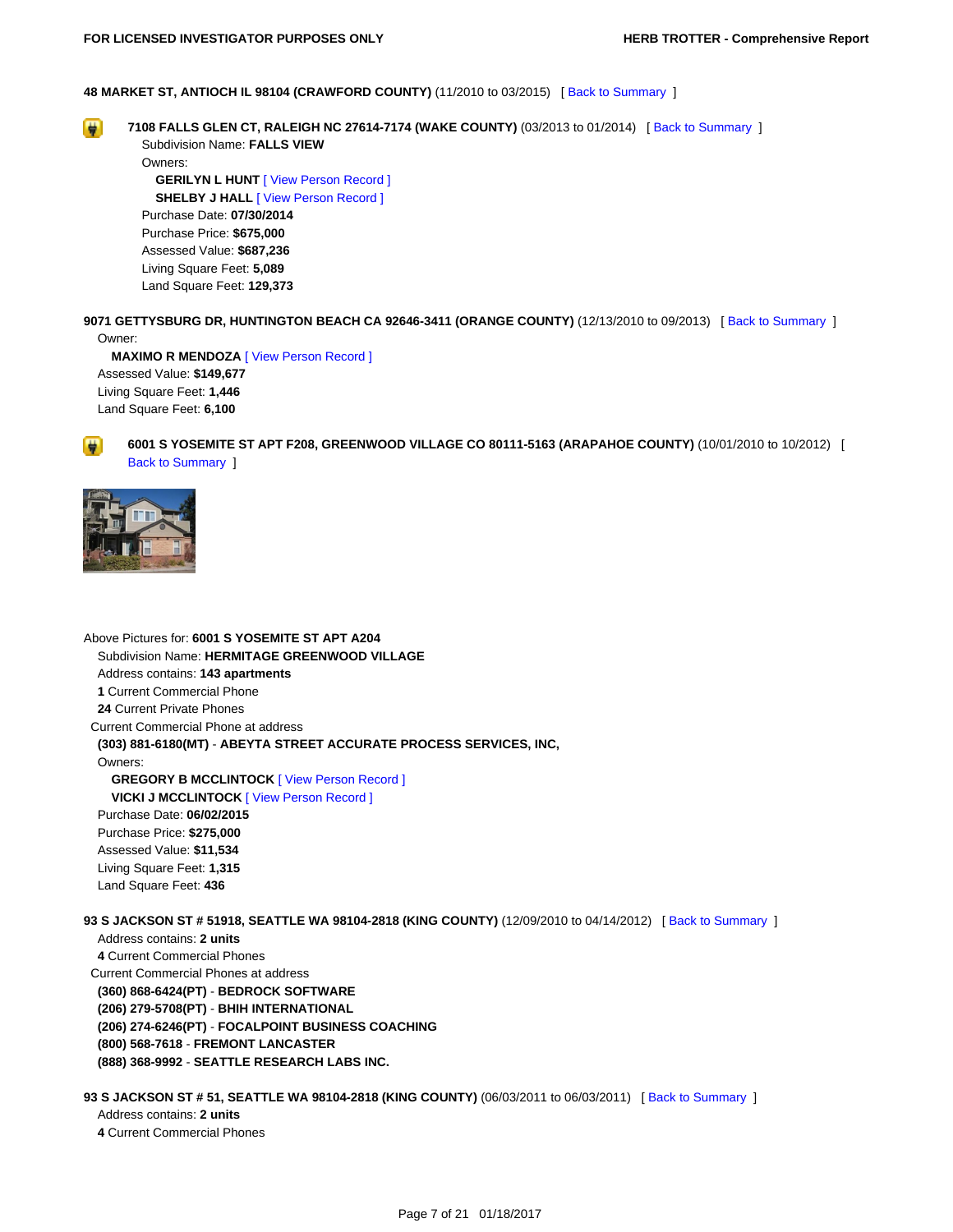#### **48 MARKET ST, ANTIOCH IL 98104 (CRAWFORD COUNTY)** (11/2010 to 03/2015) [ [Back to Summary](#page-4-14) ]

<span id="page-6-0"></span> $\rightarrow$ 

**7108 FALLS GLEN CT, RALEIGH NC 27614-7174 (WAKE COUNTY)** (03/2013 to 01/2014) [ [Back to Summary](#page-4-15) ] Subdivision Name: **FALLS VIEW**

 Owners: **GERILYN L HUNT** [\[ View Person Record \]](https://tloxp.tlo.com/search.php?action=search&type=PersonSearch&nonce=MTI5MzI2Njg1MjU4N2YwM2I0MGVjMTA0LjE2Mjc0NTA0&Token=KMCR-M13V) **SHELBY J HALL** [\[ View Person Record \]](https://tloxp.tlo.com/search.php?action=search&type=PersonSearch&nonce=MTI5MzI2Njg1MjU4N2YwM2I0MGVjMTA0LjE2Mjc0NTA0&Token=91HC-H83W) Purchase Date: **07/30/2014** Purchase Price: **\$675,000** Assessed Value: **\$687,236** Living Square Feet: **5,089** Land Square Feet: **129,373**

<span id="page-6-1"></span>**9071 GETTYSBURG DR, HUNTINGTON BEACH CA 92646-3411 (ORANGE COUNTY)** (12/13/2010 to 09/2013) [ [Back to Summary](#page-4-16) ] Owner:

 **MAXIMO R MENDOZA** [\[ View Person Record \]](https://tloxp.tlo.com/search.php?action=search&type=PersonSearch&nonce=MTI5MzI2Njg1MjU4N2YwM2I0MGVjMTA0LjE2Mjc0NTA0&Token=GL6X-8T4F) Assessed Value: **\$149,677** Living Square Feet: **1,446** Land Square Feet: **6,100**

<span id="page-6-2"></span>



Above Pictures for: **6001 S YOSEMITE ST APT A204** Subdivision Name: **HERMITAGE GREENWOOD VILLAGE** Address contains: **143 apartments 1** Current Commercial Phone  **24** Current Private Phones Current Commercial Phone at address  **(303) 881-6180(MT)** - **ABEYTA STREET ACCURATE PROCESS SERVICES, INC,** Owners:  **GREGORY B MCCLINTOCK** [\[ View Person Record \]](https://tloxp.tlo.com/search.php?action=search&type=PersonSearch&nonce=MTI5MzI2Njg1MjU4N2YwM2I0MGVjMTA0LjE2Mjc0NTA0&Token=WVKY-B43K) **VICKI J MCCLINTOCK** [\[ View Person Record \]](https://tloxp.tlo.com/search.php?action=search&type=PersonSearch&nonce=MTI5MzI2Njg1MjU4N2YwM2I0MGVjMTA0LjE2Mjc0NTA0&Token=1GFL-L14G) Purchase Date: **06/02/2015** Purchase Price: **\$275,000** Assessed Value: **\$11,534** Living Square Feet: **1,315** Land Square Feet: **436**

<span id="page-6-3"></span>**93 S JACKSON ST # 51918, SEATTLE WA 98104-2818 (KING COUNTY)** (12/09/2010 to 04/14/2012) [ [Back to Summary](#page-4-18) ]

 Address contains: **2 units 4** Current Commercial Phones Current Commercial Phones at address  **(360) 868-6424(PT)** - **BEDROCK SOFTWARE (206) 279-5708(PT)** - **BHIH INTERNATIONAL (206) 274-6246(PT)** - **FOCALPOINT BUSINESS COACHING (800) 568-7618** - **FREMONT LANCASTER (888) 368-9992** - **SEATTLE RESEARCH LABS INC.**

<span id="page-6-4"></span>**93 S JACKSON ST # 51, SEATTLE WA 98104-2818 (KING COUNTY)** (06/03/2011 to 06/03/2011) [\[ Back to Summary](#page-4-19) ] Address contains: **2 units**

 **4** Current Commercial Phones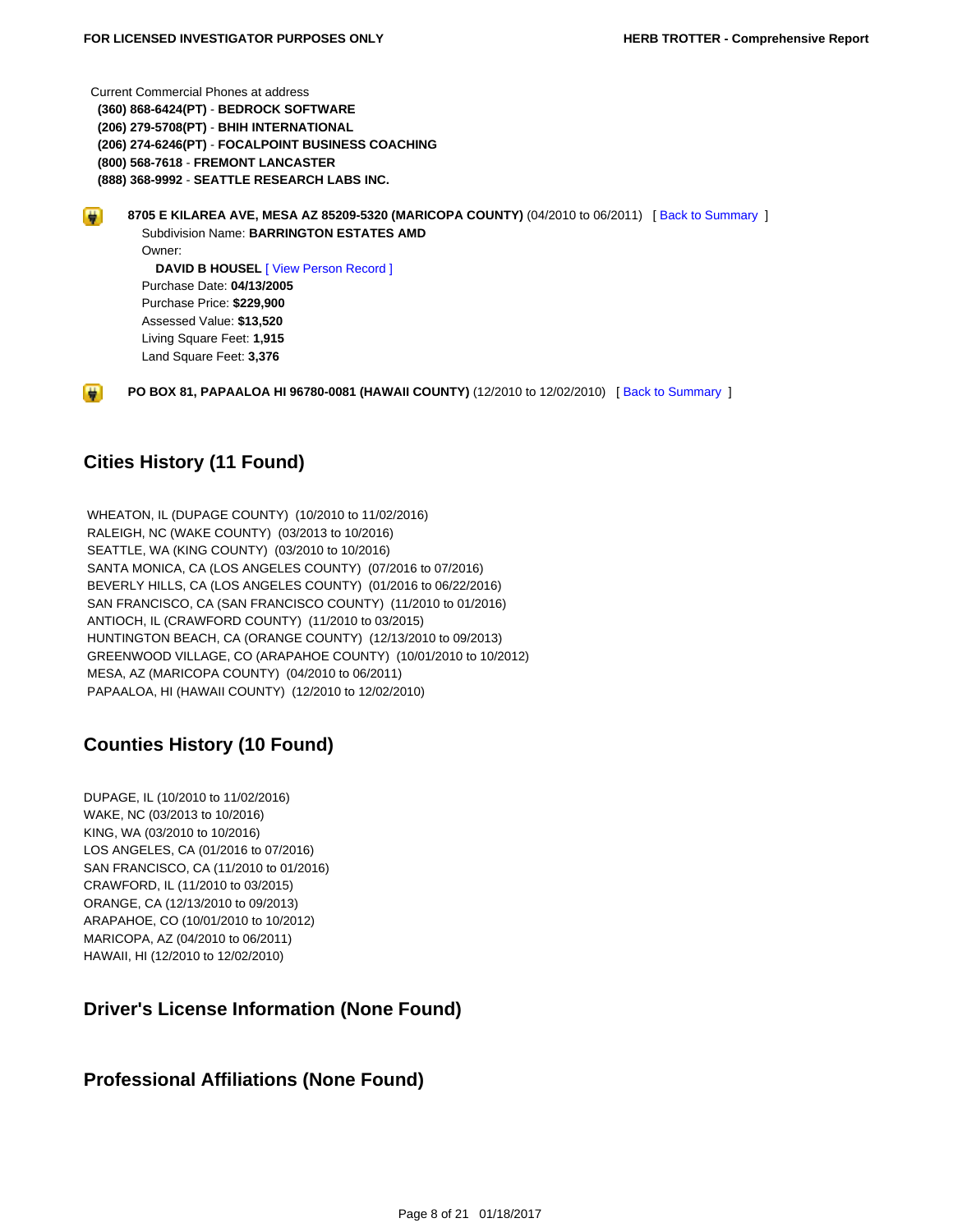Current Commercial Phones at address  **(360) 868-6424(PT)** - **BEDROCK SOFTWARE (206) 279-5708(PT)** - **BHIH INTERNATIONAL (206) 274-6246(PT)** - **FOCALPOINT BUSINESS COACHING (800) 568-7618** - **FREMONT LANCASTER (888) 368-9992** - **SEATTLE RESEARCH LABS INC.**

<span id="page-7-4"></span>**8705 E KILAREA AVE, MESA AZ 85209-5320 (MARICOPA COUNTY)** (04/2010 to 06/2011) [ [Back to Summary](#page-4-20) ] **H**  Subdivision Name: **BARRINGTON ESTATES AMD** Owner:  **DAVID B HOUSEL** [\[ View Person Record \]](https://tloxp.tlo.com/search.php?action=search&type=PersonSearch&nonce=MTI5MzI2Njg1MjU4N2YwM2I0MGVjMTA0LjE2Mjc0NTA0&Token=P895-V53J) Purchase Date: **04/13/2005** Purchase Price: **\$229,900** Assessed Value: **\$13,520**

Living Square Feet: **1,915**

Land Square Feet: **3,376**

**PO BOX 81, PAPAALOA HI 96780-0081 (HAWAII COUNTY)** (12/2010 to 12/02/2010) [\[ Back to Summary](#page-4-21) ]

## <span id="page-7-0"></span>**Cities History (11 Found)**

<span id="page-7-5"></span> $\blacksquare$ 

 WHEATON, IL (DUPAGE COUNTY) (10/2010 to 11/02/2016) RALEIGH, NC (WAKE COUNTY) (03/2013 to 10/2016) SEATTLE, WA (KING COUNTY) (03/2010 to 10/2016) SANTA MONICA, CA (LOS ANGELES COUNTY) (07/2016 to 07/2016) BEVERLY HILLS, CA (LOS ANGELES COUNTY) (01/2016 to 06/22/2016) SAN FRANCISCO, CA (SAN FRANCISCO COUNTY) (11/2010 to 01/2016) ANTIOCH, IL (CRAWFORD COUNTY) (11/2010 to 03/2015) HUNTINGTON BEACH, CA (ORANGE COUNTY) (12/13/2010 to 09/2013) GREENWOOD VILLAGE, CO (ARAPAHOE COUNTY) (10/01/2010 to 10/2012) MESA, AZ (MARICOPA COUNTY) (04/2010 to 06/2011) PAPAALOA, HI (HAWAII COUNTY) (12/2010 to 12/02/2010)

## <span id="page-7-1"></span>**Counties History (10 Found)**

DUPAGE, IL (10/2010 to 11/02/2016) WAKE, NC (03/2013 to 10/2016) KING, WA (03/2010 to 10/2016) LOS ANGELES, CA (01/2016 to 07/2016) SAN FRANCISCO, CA (11/2010 to 01/2016) CRAWFORD, IL (11/2010 to 03/2015) ORANGE, CA (12/13/2010 to 09/2013) ARAPAHOE, CO (10/01/2010 to 10/2012) MARICOPA, AZ (04/2010 to 06/2011) HAWAII, HI (12/2010 to 12/02/2010)

## <span id="page-7-2"></span>**Driver's License Information (None Found)**

## <span id="page-7-3"></span>**Professional Affiliations (None Found)**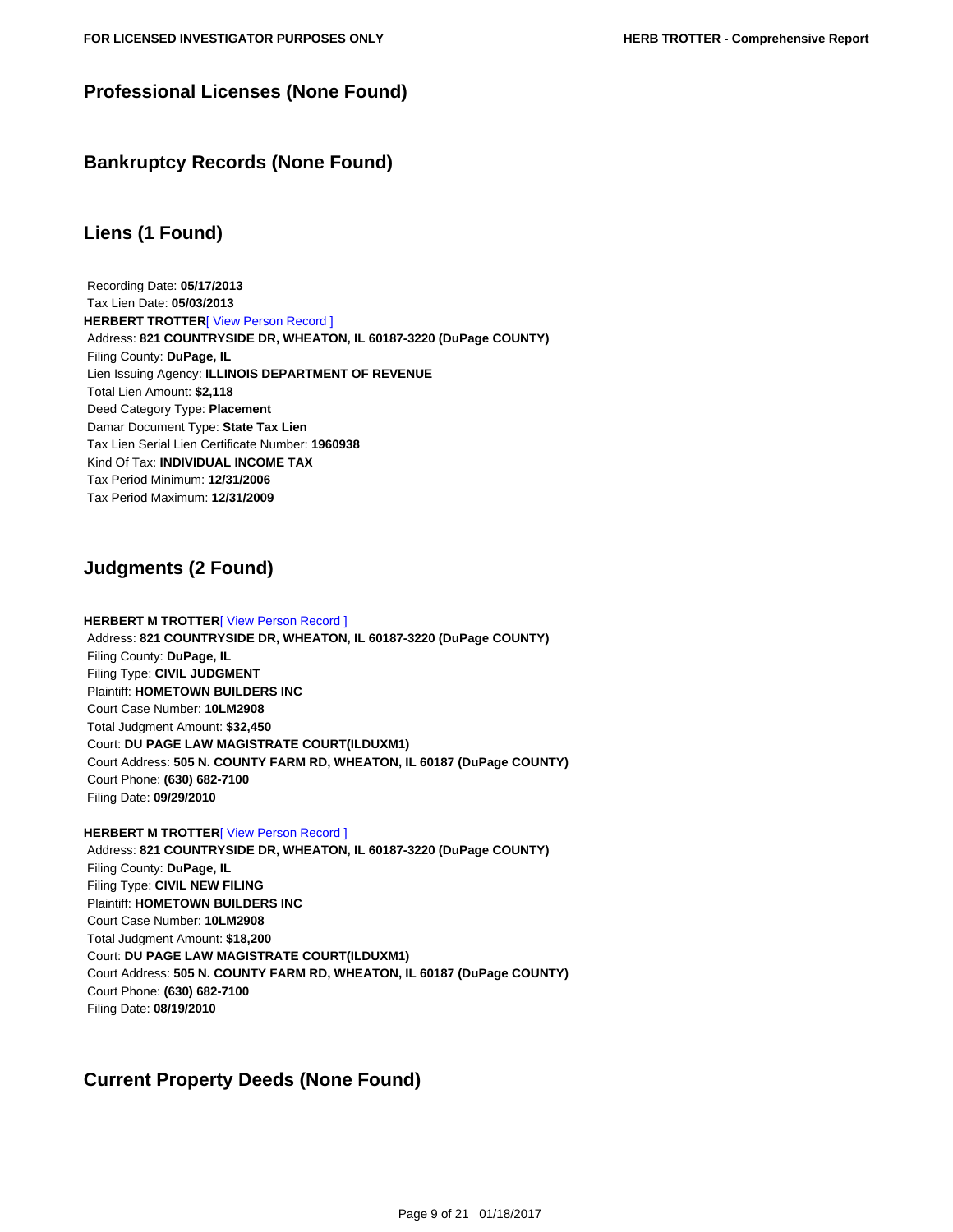## **Professional Licenses (None Found)**

## <span id="page-8-1"></span>**Bankruptcy Records (None Found)**

## <span id="page-8-2"></span>**Liens (1 Found)**

 Recording Date: **05/17/2013** Tax Lien Date: **05/03/2013 HERBERT TROTTER**<sup>[\[ View Person Record \]](https://tloxp.tlo.com/search.php?action=search&type=PersonSearch&nonce=MTI5MzI2Njg1MjU4N2YwM2I0MGVjMTA0LjE2Mjc0NTA0&Token=B62X-R43W)</sup> Address: **821 COUNTRYSIDE DR, WHEATON, IL 60187-3220 (DuPage COUNTY)** Filing County: **DuPage, IL** Lien Issuing Agency: **ILLINOIS DEPARTMENT OF REVENUE** Total Lien Amount: **\$2,118** Deed Category Type: **Placement** Damar Document Type: **State Tax Lien** Tax Lien Serial Lien Certificate Number: **1960938** Kind Of Tax: **INDIVIDUAL INCOME TAX** Tax Period Minimum: **12/31/2006** Tax Period Maximum: **12/31/2009**

## <span id="page-8-3"></span>**Judgments (2 Found)**

#### **HERBERT M TROTTER**<sup>[</sup> View Person Record ] Address: **821 COUNTRYSIDE DR, WHEATON, IL 60187-3220 (DuPage COUNTY)** Filing County: **DuPage, IL** Filing Type: **CIVIL JUDGMENT** Plaintiff: **HOMETOWN BUILDERS INC** Court Case Number: **10LM2908** Total Judgment Amount: **\$32,450** Court: **DU PAGE LAW MAGISTRATE COURT(ILDUXM1)** Court Address: **505 N. COUNTY FARM RD, WHEATON, IL 60187 (DuPage COUNTY)** Court Phone: **(630) 682-7100** Filing Date: **09/29/2010**

#### **HERBERT M TROTTER**[\[ View Person Record \]](https://tloxp.tlo.com/search.php?action=search&type=PersonSearch&nonce=MTI5MzI2Njg1MjU4N2YwM2I0MGVjMTA0LjE2Mjc0NTA0&Token=B62X-R43W)

 Address: **821 COUNTRYSIDE DR, WHEATON, IL 60187-3220 (DuPage COUNTY)** Filing County: **DuPage, IL** Filing Type: **CIVIL NEW FILING** Plaintiff: **HOMETOWN BUILDERS INC** Court Case Number: **10LM2908** Total Judgment Amount: **\$18,200** Court: **DU PAGE LAW MAGISTRATE COURT(ILDUXM1)** Court Address: **505 N. COUNTY FARM RD, WHEATON, IL 60187 (DuPage COUNTY)** Court Phone: **(630) 682-7100** Filing Date: **08/19/2010**

## <span id="page-8-4"></span><span id="page-8-0"></span>**Current Property Deeds (None Found)**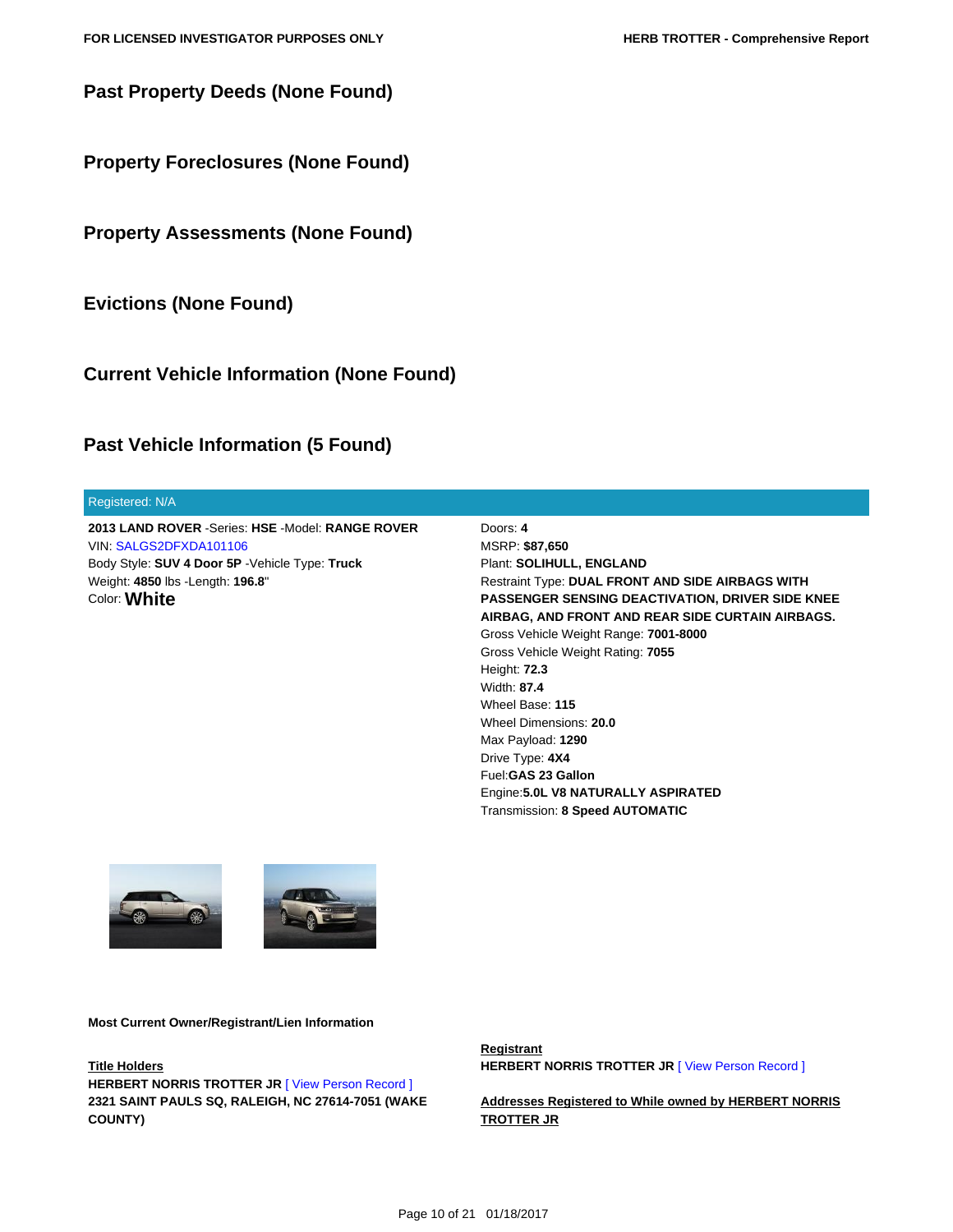**Past Property Deeds (None Found)**

<span id="page-9-1"></span>**Property Foreclosures (None Found)**

<span id="page-9-2"></span>**Property Assessments (None Found)**

<span id="page-9-3"></span>**Evictions (None Found)**

<span id="page-9-4"></span>**Current Vehicle Information (None Found)**

## <span id="page-9-5"></span>**Past Vehicle Information (5 Found)**

#### Registered: N/A

**2013 LAND ROVER** -Series: **HSE** -Model: **RANGE ROVER** VIN: [SALGS2DFXDA101106](https://tloxp.tlo.com/search.php?action=search&type=VehicleSearch2&sd%5B%5D=NxCs6smNYfE5%2BurSKMw2tjiePxPMDQUQOCEstb2%2BJE2rfZX7gAhEwnn3%2BNEspzz1MQU1wqNDgbUyoDfmT7ZsAq%2BCBTQ%2BDwAJ%2BvySb0Ct%2BTvu6nn%2FUJH%2Bx8cTJTTwFkJTT7ush3tdajPhrWm267FXUp5BX756LuC7jcXN65vC4vs%3D&nonce=MTI5MzI2Njg1MjU4N2YwM2I0MGVjMTA0LjE2Mjc0NTA0) Body Style: **SUV 4 Door 5P** -Vehicle Type: **Truck** Weight: **4850** lbs -Length: **196.8**" Color: **White**

Doors: **4** MSRP: **\$87,650** Plant: **SOLIHULL, ENGLAND** Restraint Type: **DUAL FRONT AND SIDE AIRBAGS WITH PASSENGER SENSING DEACTIVATION, DRIVER SIDE KNEE AIRBAG, AND FRONT AND REAR SIDE CURTAIN AIRBAGS.** Gross Vehicle Weight Range: **7001-8000** Gross Vehicle Weight Rating: **7055** Height: **72.3** Width: **87.4** Wheel Base: **115** Wheel Dimensions: **20.0** Max Payload: **1290** Drive Type: **4X4** Fuel:**GAS 23 Gallon** Engine:**5.0L V8 NATURALLY ASPIRATED** Transmission: **8 Speed AUTOMATIC**





**Most Current Owner/Registrant/Lien Information**

**Title Holders**

<span id="page-9-0"></span>**HERBERT NORRIS TROTTER JR | View Person Record | 2321 SAINT PAULS SQ, RALEIGH, NC 27614-7051 (WAKE COUNTY)**

**Registrant HERBERT NORRIS TROTTER JR [\[ View Person Record \]](https://tloxp.tlo.com/search.php?action=search&type=PersonSearch&nonce=MTI5MzI2Njg1MjU4N2YwM2I0MGVjMTA0LjE2Mjc0NTA0&Token=B62X-R43W)** 

**Addresses Registered to While owned by HERBERT NORRIS TROTTER JR**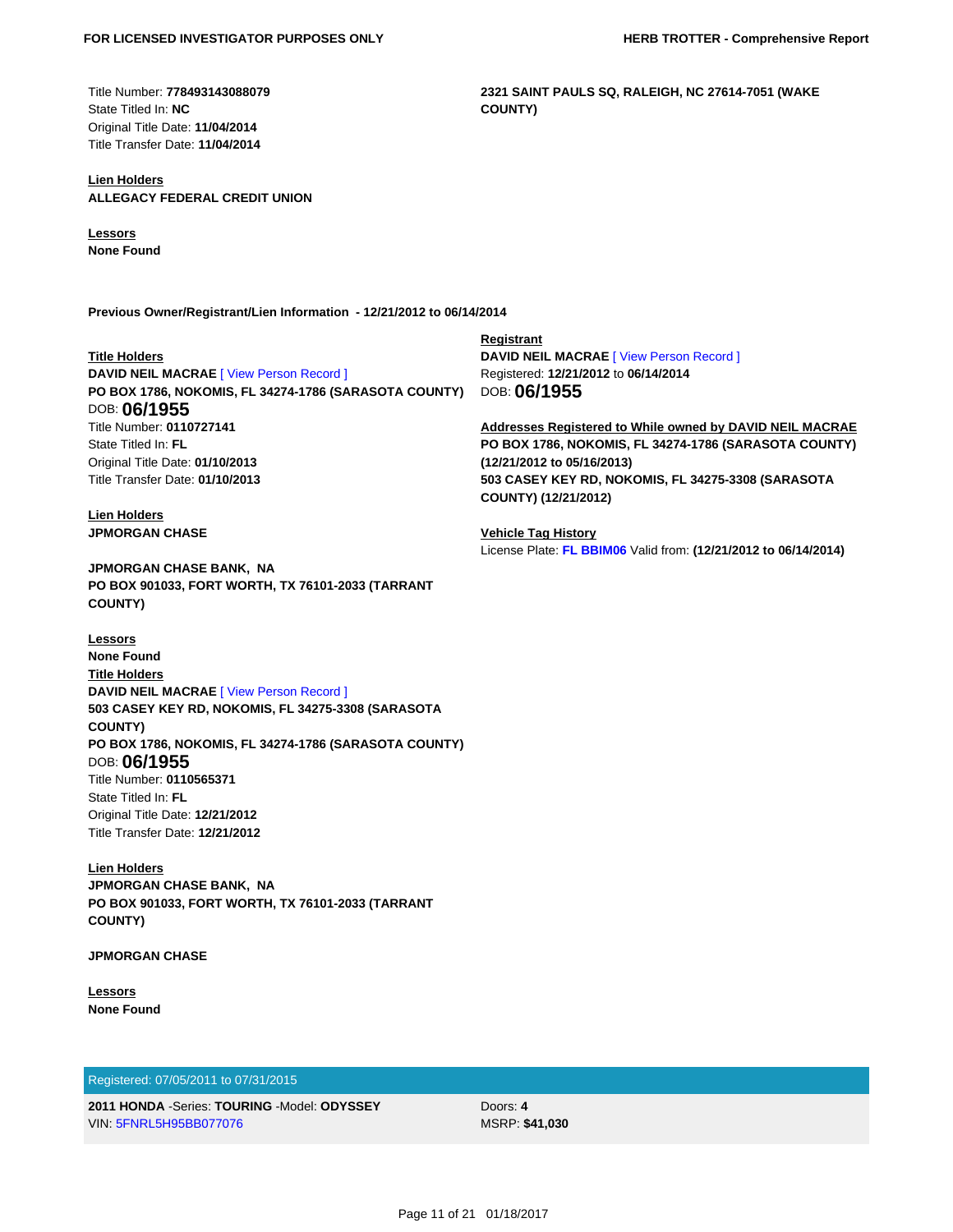Title Number: **778493143088079** State Titled In: **NC** Original Title Date: **11/04/2014** Title Transfer Date: **11/04/2014**

#### **Lien Holders ALLEGACY FEDERAL CREDIT UNION**

**Lessors**

**None Found**

**Previous Owner/Registrant/Lien Information - 12/21/2012 to 06/14/2014**

#### **Title Holders**

**DAVID NEIL MACRAE** [\[ View Person Record \]](https://tloxp.tlo.com/search.php?action=search&type=PersonSearch&nonce=MTI5MzI2Njg1MjU4N2YwM2I0MGVjMTA0LjE2Mjc0NTA0&Token=BN8X-TC3M) **PO BOX 1786, NOKOMIS, FL 34274-1786 (SARASOTA COUNTY)** DOB: **06/1955** Title Number: **0110727141** State Titled In: **FL** Original Title Date: **01/10/2013** Title Transfer Date: **01/10/2013**

#### **Lien Holders JPMORGAN CHASE**

**JPMORGAN CHASE BANK, NA PO BOX 901033, FORT WORTH, TX 76101-2033 (TARRANT COUNTY)**

**Lessors None Found Title Holders DAVID NEIL MACRAE** [\[ View Person Record \]](https://tloxp.tlo.com/search.php?action=search&type=PersonSearch&nonce=MTI5MzI2Njg1MjU4N2YwM2I0MGVjMTA0LjE2Mjc0NTA0&Token=BN8X-TC3M) **503 CASEY KEY RD, NOKOMIS, FL 34275-3308 (SARASOTA COUNTY) PO BOX 1786, NOKOMIS, FL 34274-1786 (SARASOTA COUNTY)** DOB: **06/1955** Title Number: **0110565371** State Titled In: **FL** Original Title Date: **12/21/2012** Title Transfer Date: **12/21/2012**

**Lien Holders JPMORGAN CHASE BANK, NA PO BOX 901033, FORT WORTH, TX 76101-2033 (TARRANT COUNTY)**

**JPMORGAN CHASE**

**Lessors None Found**

#### Registered: 07/05/2011 to 07/31/2015

**2011 HONDA** -Series: **TOURING** -Model: **ODYSSEY** VIN: [5FNRL5H95BB077076](https://tloxp.tlo.com/search.php?action=search&type=VehicleSearch2&sd%5B%5D=GNs0g%2FIz4Yp64QZjyiiAQAY%2BmGf%2BssfkVWBLWiBmhh06O7O9pjMQA5RFPqz1KKJ37eyCYJRbtiDcJibNocQ0YOvNjWV71Ur%2FaJtcWfPGevCc7FbcLjoGuA5hqhE9WPOch1oPWvNIb3A7jNbJo2eSwMBWKEJLkun7%2FfpsJQpVOL0%3D&nonce=MTI5MzI2Njg1MjU4N2YwM2I0MGVjMTA0LjE2Mjc0NTA0)

Doors: **4** MSRP: **\$41,030**

**Registrant DAVID NEIL MACRAE** [\[ View Person Record \]](https://tloxp.tlo.com/search.php?action=search&type=PersonSearch&nonce=MTI5MzI2Njg1MjU4N2YwM2I0MGVjMTA0LjE2Mjc0NTA0&Token=BN8X-TC3M) Registered: **12/21/2012** to **06/14/2014** DOB: **06/1955**

**2321 SAINT PAULS SQ, RALEIGH, NC 27614-7051 (WAKE**

**COUNTY)**

**Addresses Registered to While owned by DAVID NEIL MACRAE PO BOX 1786, NOKOMIS, FL 34274-1786 (SARASOTA COUNTY) (12/21/2012 to 05/16/2013) 503 CASEY KEY RD, NOKOMIS, FL 34275-3308 (SARASOTA COUNTY) (12/21/2012)**

**Vehicle Tag History** License Plate: **[FL BBIM06](https://tloxp.tlo.com/search.php?action=search&type=VehicleSearch2&sd%5B%5D=u7zC4I5ZA%2B7cEXWFkGcB%2BP0qnz%2FvgrxPWqi%2FgMF9DFug%2FER%2FZWzncHX4Iz8GVDha5%2B6%2BfdJayAmpP2vpwM1F%2FgiH2R4JyQC4SkzQwlFO%2B4ZNhprxk85r6WRClb3Gd%2FL8s56maXgnWv2lSsRWXni7LHFoODASPDvvSfGp49zR8KI%3D&nonce=MTI5MzI2Njg1MjU4N2YwM2I0MGVjMTA0LjE2Mjc0NTA0)** Valid from: **(12/21/2012 to 06/14/2014)**

Page 11 of 21 01/18/2017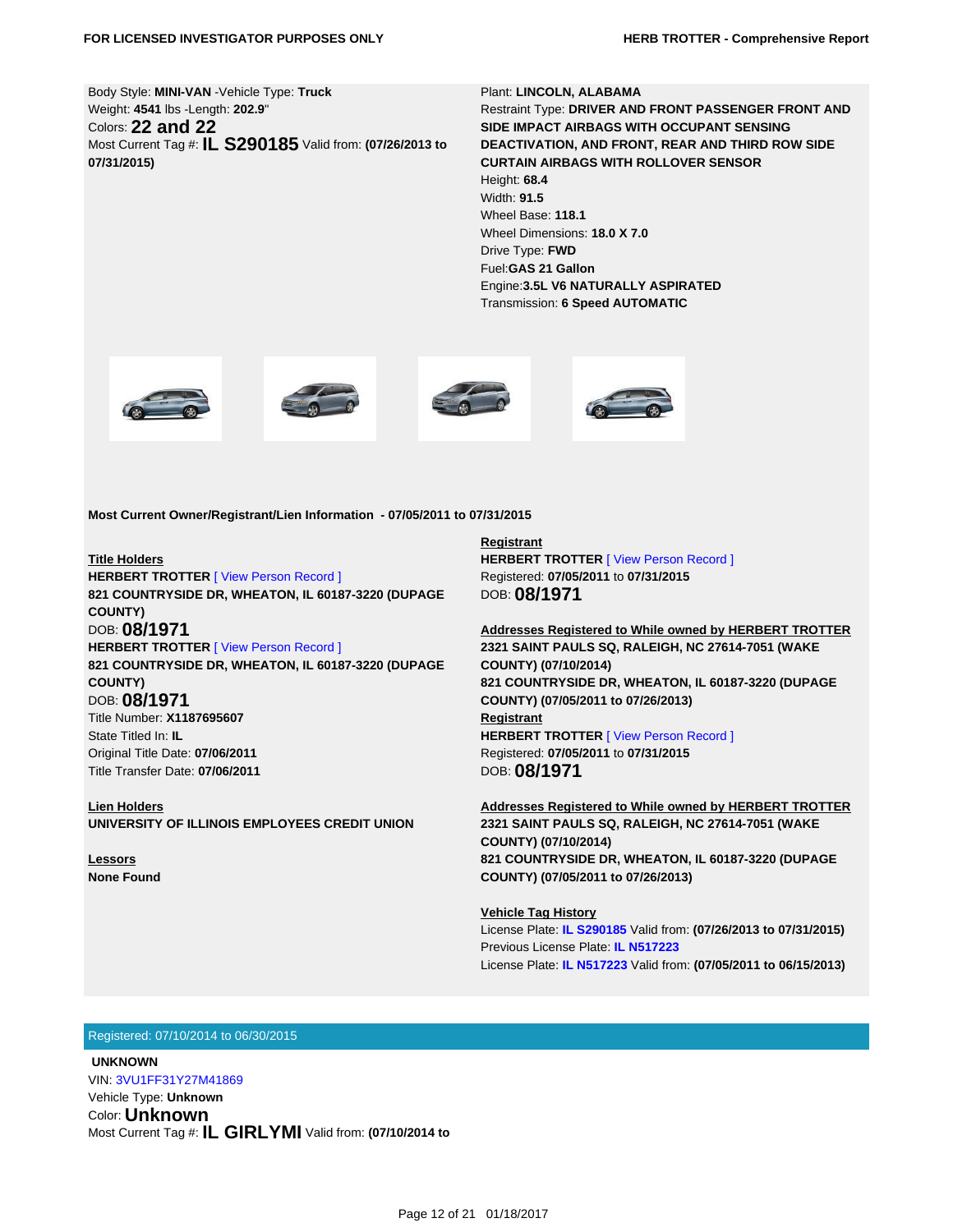Body Style: **MINI-VAN** -Vehicle Type: **Truck** Weight: **4541** lbs -Length: **202.9**" Colors: **22 and 22** Most Current Tag #: **IL S290185** Valid from: **(07/26/2013 to 07/31/2015)**

Plant: **LINCOLN, ALABAMA** Restraint Type: **DRIVER AND FRONT PASSENGER FRONT AND SIDE IMPACT AIRBAGS WITH OCCUPANT SENSING DEACTIVATION, AND FRONT, REAR AND THIRD ROW SIDE CURTAIN AIRBAGS WITH ROLLOVER SENSOR** Height: **68.4** Width: **91.5** Wheel Base: **118.1** Wheel Dimensions: **18.0 X 7.0** Drive Type: **FWD** Fuel:**GAS 21 Gallon** Engine:**3.5L V6 NATURALLY ASPIRATED** Transmission: **6 Speed AUTOMATIC**









**Most Current Owner/Registrant/Lien Information - 07/05/2011 to 07/31/2015**

#### **Title Holders**

**HERBERT TROTTER** [\[ View Person Record \]](https://tloxp.tlo.com/search.php?action=search&type=PersonSearch&nonce=MTI5MzI2Njg1MjU4N2YwM2I0MGVjMTA0LjE2Mjc0NTA0&Token=T8KT-YF3F) **821 COUNTRYSIDE DR, WHEATON, IL 60187-3220 (DUPAGE COUNTY)** DOB: **08/1971 HERBERT TROTTER** [\[ View Person Record \]](https://tloxp.tlo.com/search.php?action=search&type=PersonSearch&nonce=MTI5MzI2Njg1MjU4N2YwM2I0MGVjMTA0LjE2Mjc0NTA0&Token=B62X-R43W) **821 COUNTRYSIDE DR, WHEATON, IL 60187-3220 (DUPAGE COUNTY)** DOB: **08/1971** Title Number: **X1187695607** State Titled In: **IL** Original Title Date: **07/06/2011** Title Transfer Date: **07/06/2011**

**Lien Holders UNIVERSITY OF ILLINOIS EMPLOYEES CREDIT UNION**

**Lessors None Found** **Registrant HERBERT TROTTER** [\[ View Person Record \]](https://tloxp.tlo.com/search.php?action=search&type=PersonSearch&nonce=MTI5MzI2Njg1MjU4N2YwM2I0MGVjMTA0LjE2Mjc0NTA0&Token=T8KT-YF3F) Registered: **07/05/2011** to **07/31/2015** DOB: **08/1971**

**Addresses Registered to While owned by HERBERT TROTTER 2321 SAINT PAULS SQ, RALEIGH, NC 27614-7051 (WAKE COUNTY) (07/10/2014) 821 COUNTRYSIDE DR, WHEATON, IL 60187-3220 (DUPAGE COUNTY) (07/05/2011 to 07/26/2013) Registrant HERBERT TROTTER** [\[ View Person Record \]](https://tloxp.tlo.com/search.php?action=search&type=PersonSearch&nonce=MTI5MzI2Njg1MjU4N2YwM2I0MGVjMTA0LjE2Mjc0NTA0&Token=B62X-R43W) Registered: **07/05/2011** to **07/31/2015** DOB: **08/1971**

**Addresses Registered to While owned by HERBERT TROTTER 2321 SAINT PAULS SQ, RALEIGH, NC 27614-7051 (WAKE COUNTY) (07/10/2014) 821 COUNTRYSIDE DR, WHEATON, IL 60187-3220 (DUPAGE COUNTY) (07/05/2011 to 07/26/2013)**

**Vehicle Tag History** License Plate: **[IL S290185](https://tloxp.tlo.com/search.php?action=search&type=VehicleSearch2&sd%5B%5D=uwjv%2BG3blgyvKP90Oa9k0sAcN0u%2FM4sthrRHgvqyqkbh1S%2BC9wHbottFNizwwlOTCXfAB9FWHCsPbWxq34Cvh9XmeeGd6K3j%2BpJyAGqz6ERo38Khe1zVazMUKsZurCTUO1ZOVwF9RPglrF4iCPTmbaAzr5PBVbP%2Fgd8VIjH0USM%3D&nonce=MTI5MzI2Njg1MjU4N2YwM2I0MGVjMTA0LjE2Mjc0NTA0)** Valid from: **(07/26/2013 to 07/31/2015)** Previous License Plate: **[IL N517223](https://tloxp.tlo.com/search.php?action=search&type=VehicleSearch2&sd%5B%5D=Mr6GBSIRFZy7hnT%2BUOUPs74lkIBkhBQ5fGtsO6PhNZnDhE0fgT7lmk%2FGVKpRtjvXrK0iM54CWWobvexC1i0ZW8ykLU2MAVmXIitDjNzaXnCGxFJTMX9T2PeSnSoFYdvhVYIg2%2FkPyfaUNJ1bYuya1d%2FkstwVqZcSw7UM71nEexg%3D&nonce=MTI5MzI2Njg1MjU4N2YwM2I0MGVjMTA0LjE2Mjc0NTA0)** License Plate: **[IL N517223](https://tloxp.tlo.com/search.php?action=search&type=VehicleSearch2&sd%5B%5D=QVqwiXF92raf0KYfxYXfk6LcMTJ1oq7UPBWJ5Ntgsbhvqy%2FTRrYk9KpKD0fWTu9gVcXWXtIdnfC6sRUjr34dSQKeNnMJWi9TkFyzlyttczzCnCYr%2FTAKSiz0uNM6z8Qyw5q%2F%2BVgfCv6AScolI9o7BaeXuEarVHqvwifB2IEF05I%3D&nonce=MTI5MzI2Njg1MjU4N2YwM2I0MGVjMTA0LjE2Mjc0NTA0)** Valid from: **(07/05/2011 to 06/15/2013)**

#### Registered: 07/10/2014 to 06/30/2015

 **UNKNOWN** VIN: [3VU1FF31Y27M41869](https://tloxp.tlo.com/search.php?action=search&type=VehicleSearch2&sd%5B%5D=iSHWlarmwe2qAxDSrmBV7HzeGCLo1zBnw8k20o27KRp3I3dgepFv8bduk%2F%2BWK2sUvPjEX%2FedPYz4Alpoj%2F3pQitkJdoq9d4Tl8Dmz5218sv2PsLDzIbwQgZx%2BElVuw%2BrAh3R1h4PqbcdltkqFXxoSXy7VmkFN8NcPYiMEVsGucY%3D&nonce=MTI5MzI2Njg1MjU4N2YwM2I0MGVjMTA0LjE2Mjc0NTA0)

Vehicle Type: **Unknown** Color: **Unknown** Most Current Tag #: **IL GIRLYMI** Valid from: **(07/10/2014 to**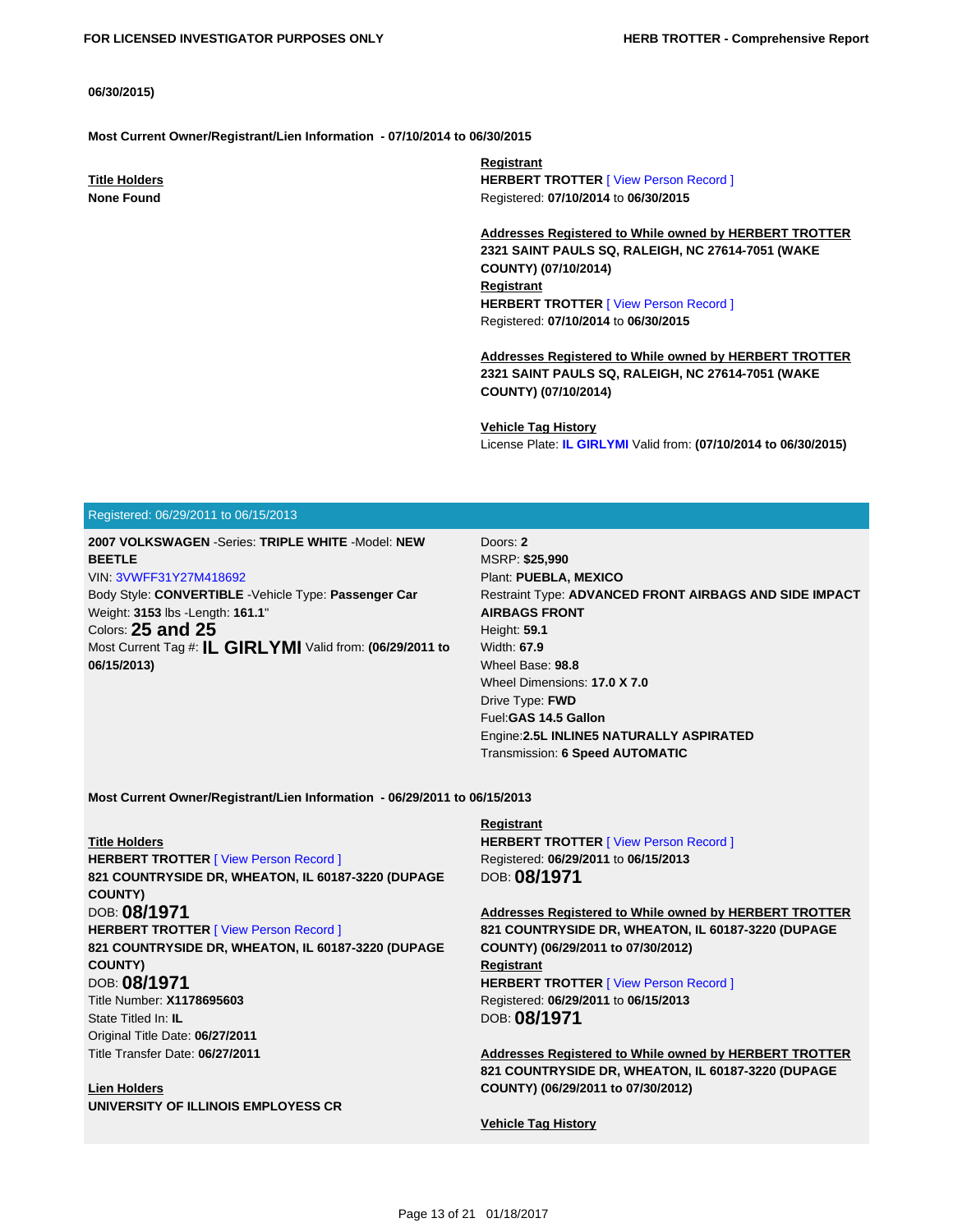#### **06/30/2015)**

**Most Current Owner/Registrant/Lien Information - 07/10/2014 to 06/30/2015**

**Title Holders None Found**

**Registrant HERBERT TROTTER** [\[ View Person Record \]](https://tloxp.tlo.com/search.php?action=search&type=PersonSearch&nonce=MTI5MzI2Njg1MjU4N2YwM2I0MGVjMTA0LjE2Mjc0NTA0&Token=T8KT-YF3F) Registered: **07/10/2014** to **06/30/2015**

**Addresses Registered to While owned by HERBERT TROTTER 2321 SAINT PAULS SQ, RALEIGH, NC 27614-7051 (WAKE COUNTY) (07/10/2014) Registrant HERBERT TROTTER** [\[ View Person Record \]](https://tloxp.tlo.com/search.php?action=search&type=PersonSearch&nonce=MTI5MzI2Njg1MjU4N2YwM2I0MGVjMTA0LjE2Mjc0NTA0&Token=B62X-R43W) Registered: **07/10/2014** to **06/30/2015**

**Addresses Registered to While owned by HERBERT TROTTER 2321 SAINT PAULS SQ, RALEIGH, NC 27614-7051 (WAKE COUNTY) (07/10/2014)**

**Vehicle Tag History**

License Plate: **[IL GIRLYMI](https://tloxp.tlo.com/search.php?action=search&type=VehicleSearch2&sd%5B%5D=cZxOJ6HnroxLyzYQHRaKiv9xa8tpbftVqEjZDZeIH9JKPLN0rw8QVF7xQ1MWA%2B9bMcRAmxSCl%2FpR5Pujbyyv3JfUB%2BfS5OcolU%2BvFOHgvA%2BPfwh1vEfWKE7YbDd9U5S5IKWNdG0XV9kAteeCiX0QDjzQGzbCUVR22PA6ptuY7fM%3D&nonce=MTI5MzI2Njg1MjU4N2YwM2I0MGVjMTA0LjE2Mjc0NTA0)** Valid from: **(07/10/2014 to 06/30/2015)**

#### Registered: 06/29/2011 to 06/15/2013

**2007 VOLKSWAGEN** -Series: **TRIPLE WHITE** -Model: **NEW BEETLE**

VIN: [3VWFF31Y27M418692](https://tloxp.tlo.com/search.php?action=search&type=VehicleSearch2&sd%5B%5D=GQaKiVQJ2TutM3mCZ%2FihnCwnhvF4n5d0%2Fn0791Q7N%2FXn%2F%2BsREu0jhSm92LzX3R%2BJOk%2FyiYXnS5%2BopTAxOOGfVantzE1Rl1U4bSJz2mkPcdD59x8Cf6AJ60%2B2nOWnk8%2Bopxas4FheZFXALB5n0TE%2F7Y9yqgAYUsW2mnnuCnebRAc%3D&nonce=MTI5MzI2Njg1MjU4N2YwM2I0MGVjMTA0LjE2Mjc0NTA0)

Body Style: **CONVERTIBLE** -Vehicle Type: **Passenger Car** Weight: **3153** lbs -Length: **161.1**" Colors: **25 and 25** Most Current Tag #: **IL GIRLYMI** Valid from: **(06/29/2011 to 06/15/2013)**

Doors: **2** MSRP: **\$25,990** Plant: **PUEBLA, MEXICO** Restraint Type: **ADVANCED FRONT AIRBAGS AND SIDE IMPACT AIRBAGS FRONT** Height: **59.1** Width: **67.9** Wheel Base: **98.8** Wheel Dimensions: **17.0 X 7.0** Drive Type: **FWD** Fuel:**GAS 14.5 Gallon** Engine:**2.5L INLINE5 NATURALLY ASPIRATED** Transmission: **6 Speed AUTOMATIC**

**Most Current Owner/Registrant/Lien Information - 06/29/2011 to 06/15/2013**

**Title Holders HERBERT TROTTER** [\[ View Person Record \]](https://tloxp.tlo.com/search.php?action=search&type=PersonSearch&nonce=MTI5MzI2Njg1MjU4N2YwM2I0MGVjMTA0LjE2Mjc0NTA0&Token=T8KT-YF3F) **821 COUNTRYSIDE DR, WHEATON, IL 60187-3220 (DUPAGE COUNTY)** DOB: **08/1971 HERBERT TROTTER** [\[ View Person Record \]](https://tloxp.tlo.com/search.php?action=search&type=PersonSearch&nonce=MTI5MzI2Njg1MjU4N2YwM2I0MGVjMTA0LjE2Mjc0NTA0&Token=B62X-R43W) **821 COUNTRYSIDE DR, WHEATON, IL 60187-3220 (DUPAGE COUNTY)** DOB: **08/1971** Title Number: **X1178695603** State Titled In: **IL** Original Title Date: **06/27/2011** Title Transfer Date: **06/27/2011**

**Lien Holders UNIVERSITY OF ILLINOIS EMPLOYESS CR** **Registrant HERBERT TROTTER** [\[ View Person Record \]](https://tloxp.tlo.com/search.php?action=search&type=PersonSearch&nonce=MTI5MzI2Njg1MjU4N2YwM2I0MGVjMTA0LjE2Mjc0NTA0&Token=T8KT-YF3F) Registered: **06/29/2011** to **06/15/2013** DOB: **08/1971**

**Addresses Registered to While owned by HERBERT TROTTER 821 COUNTRYSIDE DR, WHEATON, IL 60187-3220 (DUPAGE COUNTY) (06/29/2011 to 07/30/2012) Registrant HERBERT TROTTER** [\[ View Person Record \]](https://tloxp.tlo.com/search.php?action=search&type=PersonSearch&nonce=MTI5MzI2Njg1MjU4N2YwM2I0MGVjMTA0LjE2Mjc0NTA0&Token=B62X-R43W) Registered: **06/29/2011** to **06/15/2013** DOB: **08/1971**

**Addresses Registered to While owned by HERBERT TROTTER 821 COUNTRYSIDE DR, WHEATON, IL 60187-3220 (DUPAGE COUNTY) (06/29/2011 to 07/30/2012)**

**Vehicle Tag History**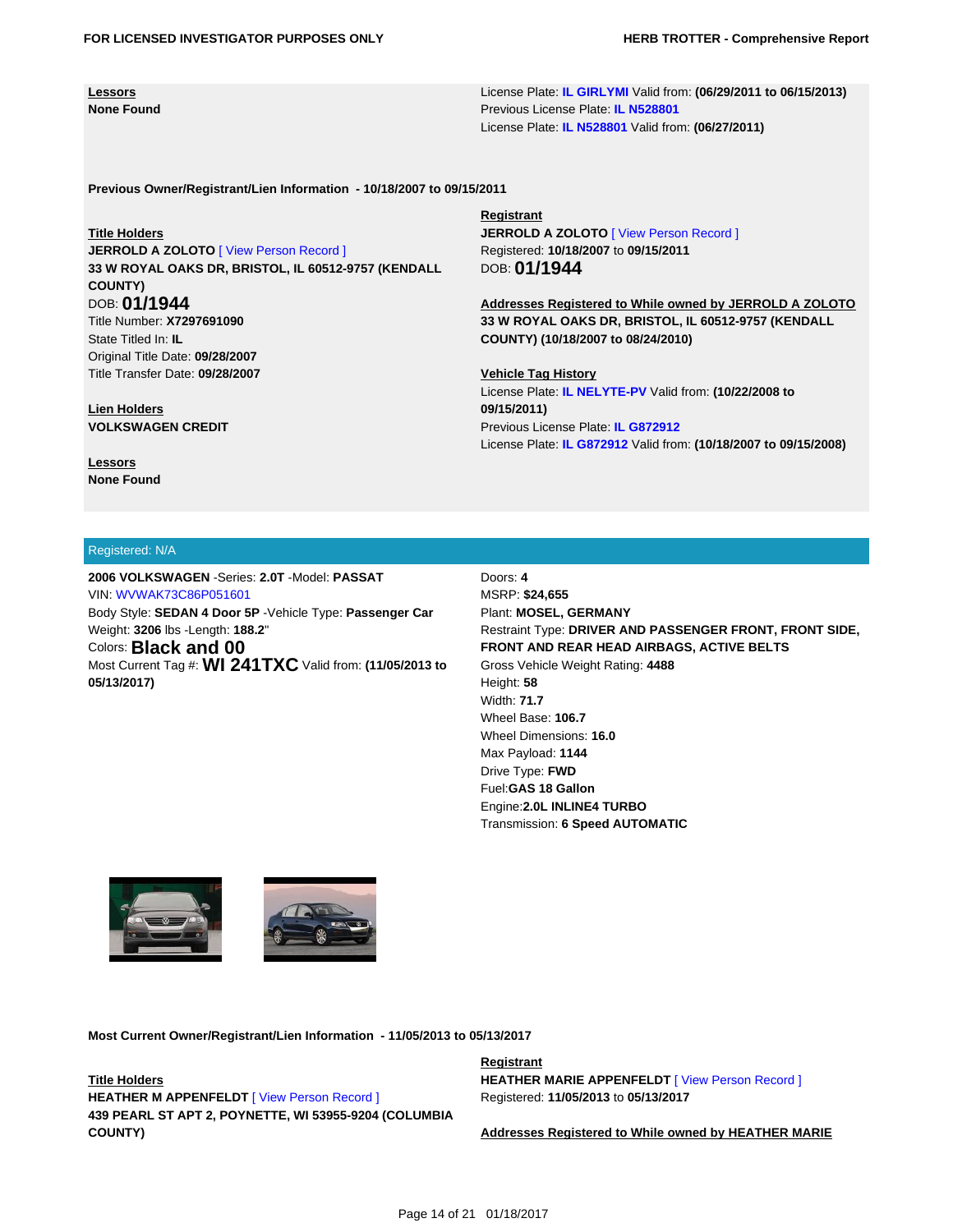**Lessors None Found** License Plate: **[IL GIRLYMI](https://tloxp.tlo.com/search.php?action=search&type=VehicleSearch2&sd%5B%5D=PB%2BfuZBVdp9wBoiLcy%2FCx4izY7DdP3GrvzN4DoO8Z%2F8Kiw0W5vOlB3lPivzfCWX3qZavfErkq89Cb1yheOKAi0oo4cPxaw06edJuYsRYFkgiRC4uURX%2B93vZM6LQMiI%2BAninnMNgGc2USWigxKIhGv5ajyMc9WnjrUooCkghRYs%3D&nonce=MTI5MzI2Njg1MjU4N2YwM2I0MGVjMTA0LjE2Mjc0NTA0)** Valid from: **(06/29/2011 to 06/15/2013)** Previous License Plate: **[IL N528801](https://tloxp.tlo.com/search.php?action=search&type=VehicleSearch2&sd%5B%5D=wspkcVyE9UAcp9xMm%2FRzKyXGNpYYbyBuaMs0WnwFL5af0NZm3Ni8dV0jRoWhiuZ%2FAz0GLKYBHJEBsn%2FZNqAWfJCBNYmj7fTYNm5%2F08icS%2BTq8HPoVen9guq46iwmlXCMOvkHpm78pfk6keSYzwtni8sVNkm%2B82tZn8iKXnSyS20%3D&nonce=MTI5MzI2Njg1MjU4N2YwM2I0MGVjMTA0LjE2Mjc0NTA0)** License Plate: **[IL N528801](https://tloxp.tlo.com/search.php?action=search&type=VehicleSearch2&sd%5B%5D=c6twpY7MHDAFON8lVq5mbJUobMRlXV11rkSIiJWHbF3HyQ24P9B1lmZYHEtZkWwdoViKvOFH3mtb1Fhn94O6hgDAONSmrcXLGKSBHLT1hE7uXMmtUnjJp6JlN7IQfgUrAxcO77IkHMpggujtsaYMTr%2Bp19PjhFIEMQ3ti6SMehM%3D&nonce=MTI5MzI2Njg1MjU4N2YwM2I0MGVjMTA0LjE2Mjc0NTA0)** Valid from: **(06/27/2011)**

**Previous Owner/Registrant/Lien Information - 10/18/2007 to 09/15/2011**

#### **Title Holders**

**JERROLD A ZOLOTO** [\[ View Person Record \]](https://tloxp.tlo.com/search.php?action=search&type=PersonSearch&nonce=MTI5MzI2Njg1MjU4N2YwM2I0MGVjMTA0LjE2Mjc0NTA0&Token=4XD3-D24Q) **33 W ROYAL OAKS DR, BRISTOL, IL 60512-9757 (KENDALL COUNTY)** DOB: **01/1944** Title Number: **X7297691090** State Titled In: **IL** Original Title Date: **09/28/2007** Title Transfer Date: **09/28/2007**

**Lien Holders VOLKSWAGEN CREDIT**

**Lessors None Found** **Registrant**

**JERROLD A ZOLOTO** [\[ View Person Record \]](https://tloxp.tlo.com/search.php?action=search&type=PersonSearch&nonce=MTI5MzI2Njg1MjU4N2YwM2I0MGVjMTA0LjE2Mjc0NTA0&Token=4XD3-D24Q) Registered: **10/18/2007** to **09/15/2011** DOB: **01/1944**

**Addresses Registered to While owned by JERROLD A ZOLOTO 33 W ROYAL OAKS DR, BRISTOL, IL 60512-9757 (KENDALL COUNTY) (10/18/2007 to 08/24/2010)**

**Vehicle Tag History** License Plate: **[IL NELYTE-PV](https://tloxp.tlo.com/search.php?action=search&type=VehicleSearch2&sd%5B%5D=hOoIK3PJarAUjTdNSqA80GSv19l0B2pZhQQF0nuZMs4wdBBjq6Cja5Sh3V%2FXN2h77xgrPcN4jqDhJsq69%2BS%2FisHbLQv81DSKDiEMk%2B7ioG5wZA5aLrVeXd3DWg644dmPkb%2FQdDPXNnVtUEsTQZcCoKSOKyIEtAy5KvcSm2V1an4%3D&nonce=MTI5MzI2Njg1MjU4N2YwM2I0MGVjMTA0LjE2Mjc0NTA0)** Valid from: **(10/22/2008 to 09/15/2011)** Previous License Plate: **[IL G872912](https://tloxp.tlo.com/search.php?action=search&type=VehicleSearch2&sd%5B%5D=ju3LCTSfWEKcfwWLqWOIGpE9S2OSiQqpvVjqMBIv3apKKijpJC2294X6ronkYNRxD2j4Hcu%2FneKq0Wq6hrN1K%2BGm2QVGWhxPqTtfsw0amDpZgWbPJhXKuOUZfktzVuHIchjq0Gl6ReC3bmY%2BASjTtsHGEUoYEl%2BCxyVjSPrfgmY%3D&nonce=MTI5MzI2Njg1MjU4N2YwM2I0MGVjMTA0LjE2Mjc0NTA0)** License Plate: **[IL G872912](https://tloxp.tlo.com/search.php?action=search&type=VehicleSearch2&sd%5B%5D=SjiKV%2FI2WZW%2FlV%2BkGbfaY4h07wLrNCjS9jdqVRSJR78UAZqtL0ndbt2lEe%2BWCG8s3xteNT%2BqvNYEYKJDPW80AHmso1fCmFUQXO240JgS%2FWFfrz4aOVjSC3tee5ZZJ%2FBb6e3GfWddw3hmsaei3WvQZ2isrR8a%2BDsy7WMK0x8htJk%3D&nonce=MTI5MzI2Njg1MjU4N2YwM2I0MGVjMTA0LjE2Mjc0NTA0)** Valid from: **(10/18/2007 to 09/15/2008)**

#### Registered: N/A

**2006 VOLKSWAGEN** -Series: **2.0T** -Model: **PASSAT** VIN: [WVWAK73C86P051601](https://tloxp.tlo.com/search.php?action=search&type=VehicleSearch2&sd%5B%5D=pcf0qfhkLyWjL%2BcLks9G8Gxj2QKNlUhsjIZ5muKNPggEp%2BAy0etEy5VNJKncVV3r3TU29Kri07JWp%2FhX4XTUB3U66CzP8XBc%2BXIkPIAsQQsqXVXE6a%2Fohdbg3PUHP6Sgf2wH%2F5eVupj6DdxGbuFjT0CGQz%2Bk7Xo1qTbZRGVvY%2FM%3D&nonce=MTI5MzI2Njg1MjU4N2YwM2I0MGVjMTA0LjE2Mjc0NTA0) Body Style: **SEDAN 4 Door 5P** -Vehicle Type: **Passenger Car** Weight: **3206** lbs -Length: **188.2**" Colors: **Black and 00** Most Current Tag #: **WI 241TXC** Valid from: **(11/05/2013 to 05/13/2017)**

Doors: **4** MSRP: **\$24,655** Plant: **MOSEL, GERMANY** Restraint Type: **DRIVER AND PASSENGER FRONT, FRONT SIDE, FRONT AND REAR HEAD AIRBAGS, ACTIVE BELTS** Gross Vehicle Weight Rating: **4488** Height: **58** Width: **71.7** Wheel Base: **106.7** Wheel Dimensions: **16.0** Max Payload: **1144** Drive Type: **FWD** Fuel:**GAS 18 Gallon** Engine:**2.0L INLINE4 TURBO** Transmission: **6 Speed AUTOMATIC**





**Most Current Owner/Registrant/Lien Information - 11/05/2013 to 05/13/2017**

**Title Holders HEATHER M APPENFELDT** [\[ View Person Record \]](https://tloxp.tlo.com/search.php?action=search&type=PersonSearch&nonce=MTI5MzI2Njg1MjU4N2YwM2I0MGVjMTA0LjE2Mjc0NTA0&Token=L2L3-DV35) **439 PEARL ST APT 2, POYNETTE, WI 53955-9204 (COLUMBIA COUNTY)**

#### **Registrant**

**HEATHER MARIE APPENFELDT** [\[ View Person Record \]](https://tloxp.tlo.com/search.php?action=search&type=PersonSearch&nonce=MTI5MzI2Njg1MjU4N2YwM2I0MGVjMTA0LjE2Mjc0NTA0&Token=L2L3-DV35) Registered: **11/05/2013** to **05/13/2017**

**Addresses Registered to While owned by HEATHER MARIE**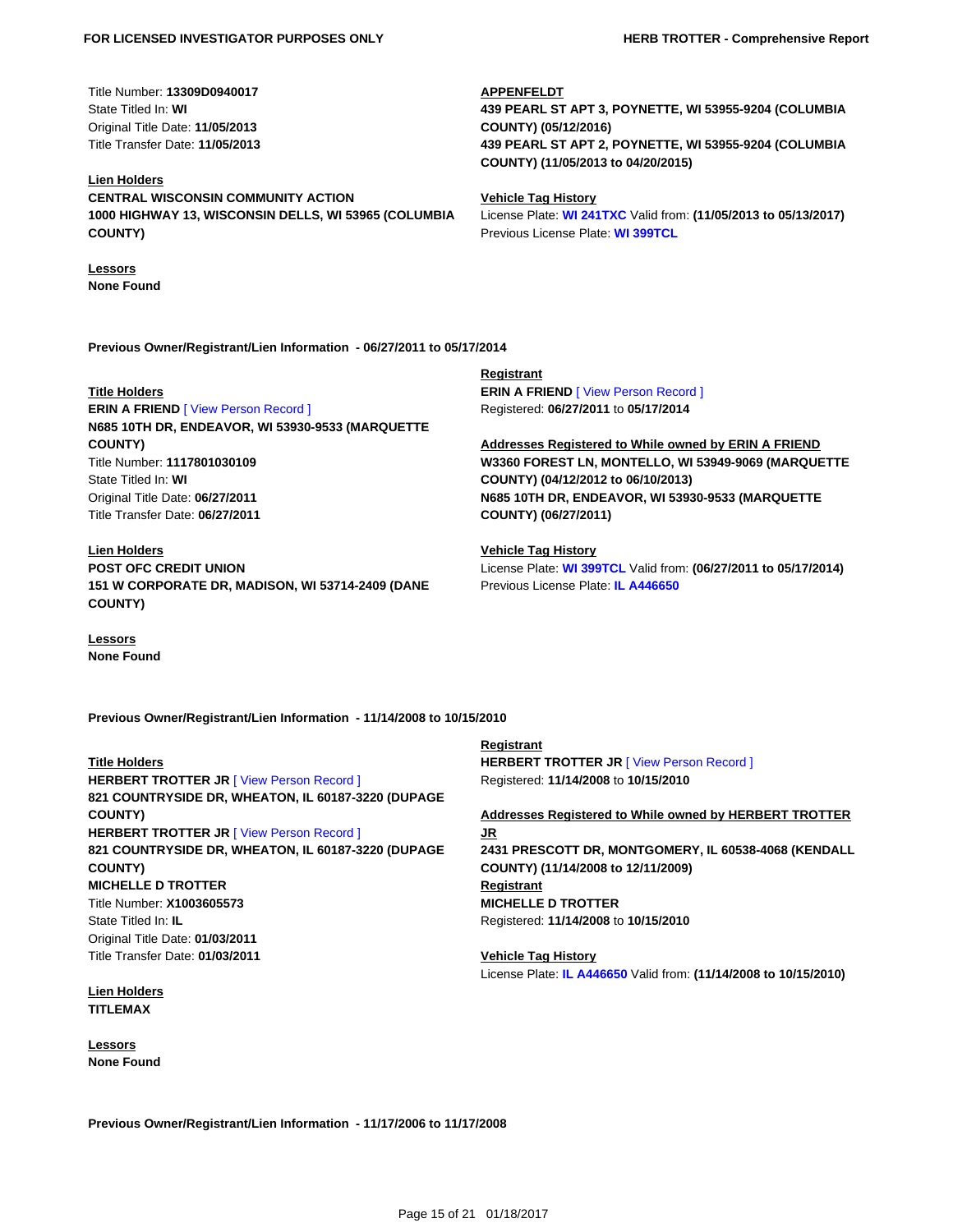Title Number: **13309D0940017** State Titled In: **WI** Original Title Date: **11/05/2013** Title Transfer Date: **11/05/2013**

#### **Lien Holders**

**CENTRAL WISCONSIN COMMUNITY ACTION 1000 HIGHWAY 13, WISCONSIN DELLS, WI 53965 (COLUMBIA COUNTY)**

**Lessors None Found**

**Previous Owner/Registrant/Lien Information - 06/27/2011 to 05/17/2014**

#### **Title Holders**

**ERIN A FRIEND** [\[ View Person Record \]](https://tloxp.tlo.com/search.php?action=search&type=PersonSearch&nonce=MTI5MzI2Njg1MjU4N2YwM2I0MGVjMTA0LjE2Mjc0NTA0&Token=6ND4-5D4B) **N685 10TH DR, ENDEAVOR, WI 53930-9533 (MARQUETTE COUNTY)** Title Number: **1117801030109** State Titled In: **WI** Original Title Date: **06/27/2011** Title Transfer Date: **06/27/2011**

**Lien Holders POST OFC CREDIT UNION 151 W CORPORATE DR, MADISON, WI 53714-2409 (DANE COUNTY)**

**Lessors None Found** **Registrant ERIN A FRIEND** [\[ View Person Record \]](https://tloxp.tlo.com/search.php?action=search&type=PersonSearch&nonce=MTI5MzI2Njg1MjU4N2YwM2I0MGVjMTA0LjE2Mjc0NTA0&Token=6ND4-5D4B) Registered: **06/27/2011** to **05/17/2014**

**APPENFELDT**

**COUNTY) (05/12/2016)**

**Vehicle Tag History**

**COUNTY) (11/05/2013 to 04/20/2015)**

Previous License Plate: **[WI 399TCL](https://tloxp.tlo.com/search.php?action=search&type=VehicleSearch2&sd%5B%5D=RaOVlw1fFP%2BvtvA9Bh6kdgRZKmXs4kWijiQEKKyoujHH1d%2FaocYnIsZi203m1CCFsO8pOgAiuz8MT63GsikykJILz6r5eYJXBgMHzCGQk58UjarVsR5GvNhAI3wdOvM2ft6IupyGR%2FcP73XsFoqSvg9KyldxtM4%2B%2FYBpbTa9Txk%3D&nonce=MTI5MzI2Njg1MjU4N2YwM2I0MGVjMTA0LjE2Mjc0NTA0)**

**Addresses Registered to While owned by ERIN A FRIEND W3360 FOREST LN, MONTELLO, WI 53949-9069 (MARQUETTE COUNTY) (04/12/2012 to 06/10/2013) N685 10TH DR, ENDEAVOR, WI 53930-9533 (MARQUETTE COUNTY) (06/27/2011)**

**439 PEARL ST APT 3, POYNETTE, WI 53955-9204 (COLUMBIA**

**439 PEARL ST APT 2, POYNETTE, WI 53955-9204 (COLUMBIA**

License Plate: **[WI 241TXC](https://tloxp.tlo.com/search.php?action=search&type=VehicleSearch2&sd%5B%5D=xLQuLcaZstipkWzl9dOnbtizEZWw0sjVw2mTlBESVmTupaCqdK4Gb3xC5fODIYMt%2BC%2FVuTNm5yn05pgF2rD6TK66ZrKbwvIMJBNsPQ0yMi0UEAOOFdVJiQw2hdxS0YzLHg24NkwpzYVbkij%2B0xXTMP2F0MH3x9qy94zi3uuwKm0%3D&nonce=MTI5MzI2Njg1MjU4N2YwM2I0MGVjMTA0LjE2Mjc0NTA0)** Valid from: **(11/05/2013 to 05/13/2017)**

**Vehicle Tag History** License Plate: **[WI 399TCL](https://tloxp.tlo.com/search.php?action=search&type=VehicleSearch2&sd%5B%5D=tTwvyemW%2BwYu8tJKNhD01QjkhSYSVNQ44QFTCUesC02EqCaZymNxJ3PX0sjsxVA7jAqxwyNNKY9dMjMx0e35JytnJR2ZbvsBUnVydpztAjav3LB3VIv%2FVIFIQOYlTJeh0f0nLRxDDtazY75x6gARy61%2BUWNSWY1%2FvfplmzS2DnU%3D&nonce=MTI5MzI2Njg1MjU4N2YwM2I0MGVjMTA0LjE2Mjc0NTA0)** Valid from: **(06/27/2011 to 05/17/2014)** Previous License Plate: **[IL A446650](https://tloxp.tlo.com/search.php?action=search&type=VehicleSearch2&sd%5B%5D=X9RuIZrIKlvPVi5jONEKvp9Sl%2FnZS979n36odzljjh7E5FnEl%2B%2F7H6h3NYqh8DAg3%2FBIRy%2B9g89JZfKGc3WIayipWs7IZUl51GxcOpTMvkynnr5nxMeoT4mJkocClMV9gx4%2BoZUTx29x53XGwurnud5luIRkI8jtcHodPDZ2K58%3D&nonce=MTI5MzI2Njg1MjU4N2YwM2I0MGVjMTA0LjE2Mjc0NTA0)**

**Previous Owner/Registrant/Lien Information - 11/14/2008 to 10/15/2010**

#### **Title Holders**

**HERBERT TROTTER JR [\[ View Person Record \]](https://tloxp.tlo.com/search.php?action=search&type=PersonSearch&nonce=MTI5MzI2Njg1MjU4N2YwM2I0MGVjMTA0LjE2Mjc0NTA0&Token=T8KT-YF3F) 821 COUNTRYSIDE DR, WHEATON, IL 60187-3220 (DUPAGE COUNTY) HERBERT TROTTER JR [\[ View Person Record \]](https://tloxp.tlo.com/search.php?action=search&type=PersonSearch&nonce=MTI5MzI2Njg1MjU4N2YwM2I0MGVjMTA0LjE2Mjc0NTA0&Token=B62X-R43W) 821 COUNTRYSIDE DR, WHEATON, IL 60187-3220 (DUPAGE COUNTY) MICHELLE D TROTTER** Title Number: **X1003605573** State Titled In: **IL** Original Title Date: **01/03/2011** Title Transfer Date: **01/03/2011**

**Lien Holders TITLEMAX**

**Lessors None Found** **Registrant HERBERT TROTTER JR [\[ View Person Record \]](https://tloxp.tlo.com/search.php?action=search&type=PersonSearch&nonce=MTI5MzI2Njg1MjU4N2YwM2I0MGVjMTA0LjE2Mjc0NTA0&Token=T8KT-YF3F)** Registered: **11/14/2008** to **10/15/2010**

**Addresses Registered to While owned by HERBERT TROTTER JR 2431 PRESCOTT DR, MONTGOMERY, IL 60538-4068 (KENDALL COUNTY) (11/14/2008 to 12/11/2009) Registrant MICHELLE D TROTTER** Registered: **11/14/2008** to **10/15/2010**

**Vehicle Tag History** License Plate: **[IL A446650](https://tloxp.tlo.com/search.php?action=search&type=VehicleSearch2&sd%5B%5D=GfmtRnpoJPWQRbonyH0qBJVhHEnpJHv%2Fs%2FC7Gtw%2FvQtzorfKdPW81wJIA9RqTMgUk4%2FH1fqOCEDYjIL%2FAzhw0BjaBQCloh38%2FbkFqPpQ5F0VjT16SR8NcgFQ009u3zzH4sCWP0GHARD4na045hx16QULCOXMlFsmSl6fEBB5wJ4%3D&nonce=MTI5MzI2Njg1MjU4N2YwM2I0MGVjMTA0LjE2Mjc0NTA0)** Valid from: **(11/14/2008 to 10/15/2010)**

**Previous Owner/Registrant/Lien Information - 11/17/2006 to 11/17/2008**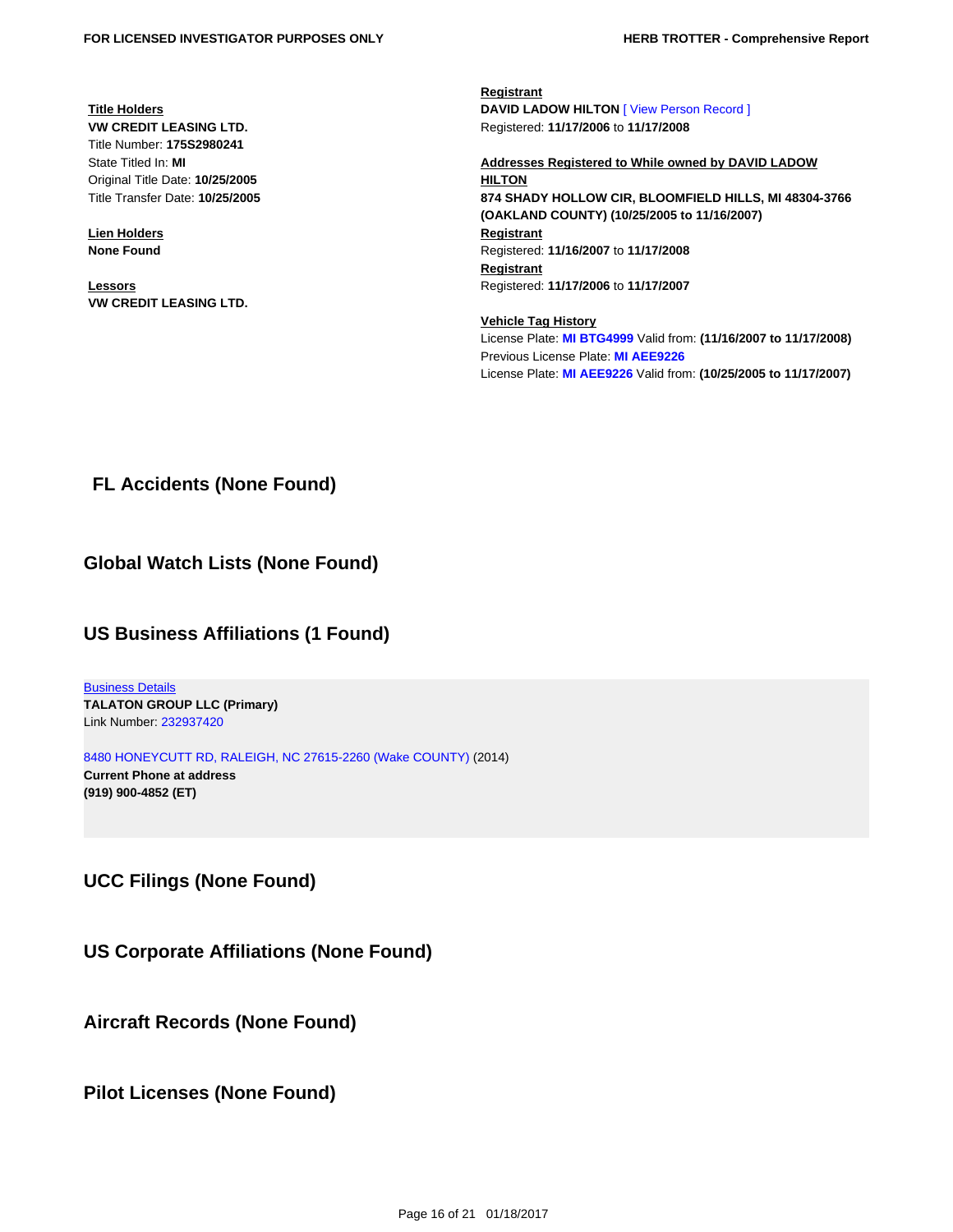**Title Holders VW CREDIT LEASING LTD.** Title Number: **175S2980241** State Titled In: **MI** Original Title Date: **10/25/2005** Title Transfer Date: **10/25/2005**

**Lien Holders None Found**

**Lessors VW CREDIT LEASING LTD.** **Registrant DAVID LADOW HILTON** [\[ View Person Record \]](https://tloxp.tlo.com/search.php?action=search&type=PersonSearch&nonce=MTI5MzI2Njg1MjU4N2YwM2I0MGVjMTA0LjE2Mjc0NTA0&Token=Q53P-GG3J) Registered: **11/17/2006** to **11/17/2008**

**Addresses Registered to While owned by DAVID LADOW HILTON 874 SHADY HOLLOW CIR, BLOOMFIELD HILLS, MI 48304-3766 (OAKLAND COUNTY) (10/25/2005 to 11/16/2007) Registrant** Registered: **11/16/2007** to **11/17/2008 Registrant** Registered: **11/17/2006** to **11/17/2007**

**Vehicle Tag History** License Plate: **[MI BTG4999](https://tloxp.tlo.com/search.php?action=search&type=VehicleSearch2&sd%5B%5D=GxxJXowaLybr%2BI%2BE%2BOJssN0lVT9ygOxiY%2BP7CtoopBamavZfDrGfboZsZ%2BRZgY8fZx8XI8qAZugr4fg0FXOyCj%2FKXjlmPBkvUcinc%2Bri3XrrRlQRODFrL19plW3F6fe%2Fzcmvclf3lTxT1hG%2Bm4kJ0xrdlzTmqWtcaGT2gAmhzWs%3D&nonce=MTI5MzI2Njg1MjU4N2YwM2I0MGVjMTA0LjE2Mjc0NTA0)** Valid from: **(11/16/2007 to 11/17/2008)** Previous License Plate: **[MI AEE9226](https://tloxp.tlo.com/search.php?action=search&type=VehicleSearch2&sd%5B%5D=K4HXaCZS07sV81R8th9o%2B%2FI2stHyy6EKUg4k0czb%2BrWF%2FlqQ2d9Ro0z0fBY%2F4tFydgNQdge4CLJ41%2Bt6ngwsuzTzFMBlD71p2FlZvPiScz2Bg3zboMhsDScz%2B8yzBR80QsCKMgHcOXtjmVeG4gR4VYwmEoL2vuNTE79nnMr8N%2Bo%3D&nonce=MTI5MzI2Njg1MjU4N2YwM2I0MGVjMTA0LjE2Mjc0NTA0)** License Plate: **[MI AEE9226](https://tloxp.tlo.com/search.php?action=search&type=VehicleSearch2&sd%5B%5D=jwNocXJ01jwPceggxepXCE9qtfcrVR6zHzrCWFHc%2BI9cgNH7WrIOsNGU4NytSDIF%2FyIvce%2B5go6V7TwSVX5vEMEBSE4AlIGkQo758gDTZmsscYqbkeWSpNpmB3nz7jbFJMjf2fJ%2Be%2BH35NsEBq1%2BDqsa8Iqx5XuCbo5CEQOHiAw%3D&nonce=MTI5MzI2Njg1MjU4N2YwM2I0MGVjMTA0LjE2Mjc0NTA0)** Valid from: **(10/25/2005 to 11/17/2007)**

<span id="page-15-0"></span>**FL Accidents (None Found)**

#### <span id="page-15-1"></span>**Global Watch Lists (None Found)**

#### <span id="page-15-2"></span>**US Business Affiliations (1 Found)**

**[Business Details](https://tloxp.tlo.com/search.php?action=search&type=FullBusinessSearch&nonce=MTI5MzI2Njg1MjU4N2YwM2I0MGVjMTA0LjE2Mjc0NTA0&BusinessToken=bKFwHxn5KFqwOJsLuaVEJRmbqxQdv6ypqGb2uvtyydwE%3D) TALATON GROUP LLC (Primary)** Link Number: [232937420](https://tloxp.tlo.com/search.php?action=search&type=FullBusinessSearch&nonce=MTI5MzI2Njg1MjU4N2YwM2I0MGVjMTA0LjE2Mjc0NTA0&BusinessToken=bKFwHxn5KFqwOJsLuaVEJRmbqxQdv6ypqGb2uvtyydwE%3D)

[8480 HONEYCUTT RD, RALEIGH, NC 27615-2260 \(Wake COUNTY\)](https://tloxp.tlo.com/search.php?action=search&type=PersonSearch&sd%5B%5D=b7kMjbX%2B3V8bWja9Auq4ug%2BmmxLRP50BvuSWBtQkZ%2B8FMQf8FMXK9X2RpeVPS5M0abmdefJkpjJfz2BEqxDY5sHYUHFcLHrs6tvmqEq1daBCCYng%2BG0dCMAmHpy6eDlG2yGdfC1EXoe4OwYkK9ksRIPM8Y51j5zoPGKCXNz03Ms%3D&nonce=MTI5MzI2Njg1MjU4N2YwM2I0MGVjMTA0LjE2Mjc0NTA0) (2014) **Current Phone at address (919) 900-4852 (ET)**

<span id="page-15-3"></span>**UCC Filings (None Found)**

<span id="page-15-4"></span>**US Corporate Affiliations (None Found)**

<span id="page-15-5"></span>**Aircraft Records (None Found)**

<span id="page-15-6"></span>**Pilot Licenses (None Found)**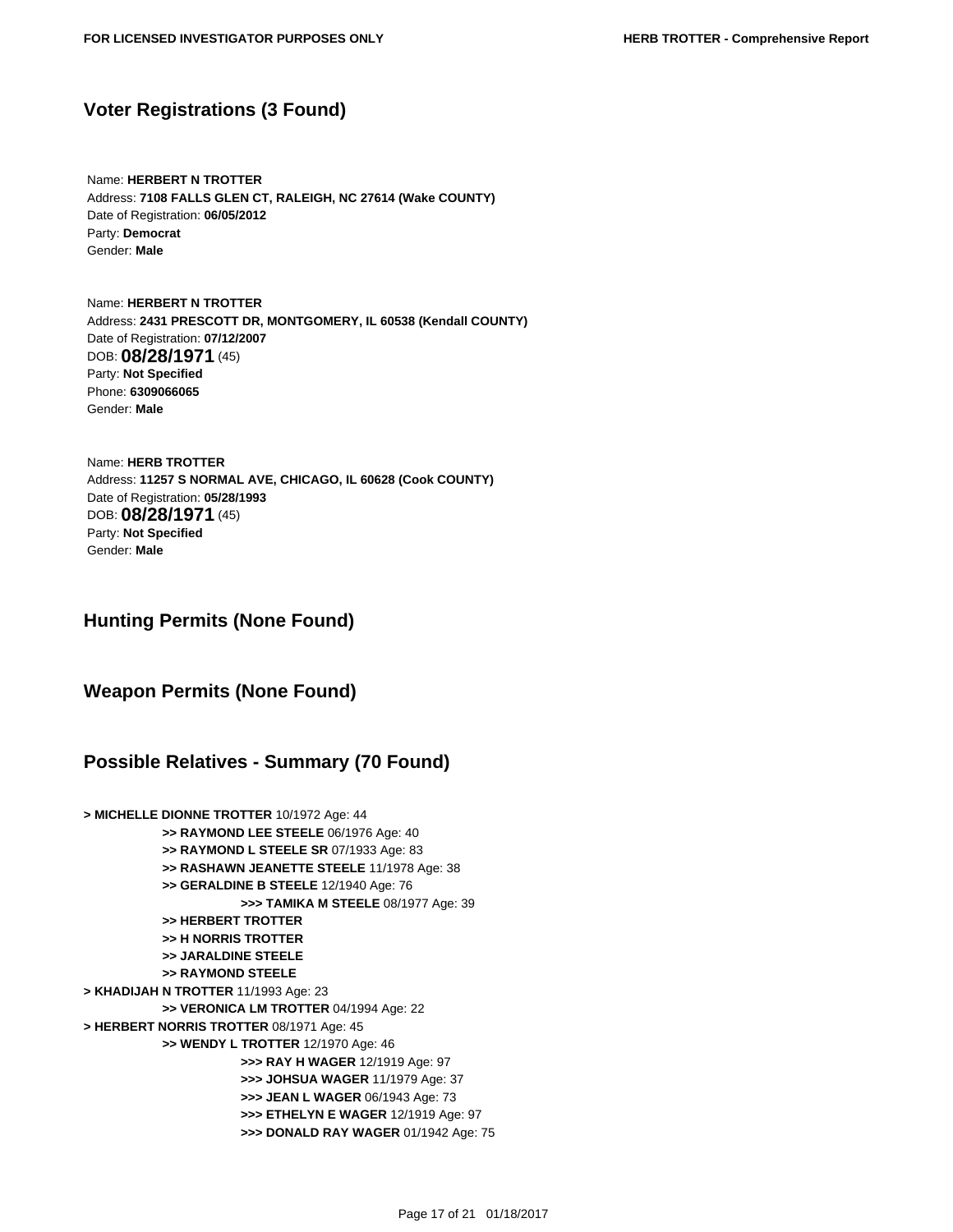#### <span id="page-16-0"></span>**Voter Registrations (3 Found)**

 Name: **HERBERT N TROTTER** Address: **7108 FALLS GLEN CT, RALEIGH, NC 27614 (Wake COUNTY)** Date of Registration: **06/05/2012** Party: **Democrat** Gender: **Male**

 Name: **HERBERT N TROTTER** Address: **2431 PRESCOTT DR, MONTGOMERY, IL 60538 (Kendall COUNTY)** Date of Registration: **07/12/2007** DOB: **08/28/1971** (45) Party: **Not Specified** Phone: **6309066065** Gender: **Male**

 Name: **HERB TROTTER** Address: **11257 S NORMAL AVE, CHICAGO, IL 60628 (Cook COUNTY)** Date of Registration: **05/28/1993** DOB: **08/28/1971** (45) Party: **Not Specified** Gender: **Male**

<span id="page-16-1"></span>**Hunting Permits (None Found)**

<span id="page-16-2"></span>**Weapon Permits (None Found)**

#### <span id="page-16-3"></span>**Possible Relatives - Summary (70 Found)**

**> MICHELLE DIONNE TROTTER** 10/1972 Age: 44 **>> RAYMOND LEE STEELE** 06/1976 Age: 40 **>> RAYMOND L STEELE SR** 07/1933 Age: 83 **>> RASHAWN JEANETTE STEELE** 11/1978 Age: 38 **>> GERALDINE B STEELE** 12/1940 Age: 76 **>>> TAMIKA M STEELE** 08/1977 Age: 39 **>> HERBERT TROTTER >> H NORRIS TROTTER >> JARALDINE STEELE >> RAYMOND STEELE > KHADIJAH N TROTTER** 11/1993 Age: 23 **>> VERONICA LM TROTTER** 04/1994 Age: 22 **> HERBERT NORRIS TROTTER** 08/1971 Age: 45 **>> WENDY L TROTTER** 12/1970 Age: 46 **>>> RAY H WAGER** 12/1919 Age: 97 **>>> JOHSUA WAGER** 11/1979 Age: 37 **>>> JEAN L WAGER** 06/1943 Age: 73 **>>> ETHELYN E WAGER** 12/1919 Age: 97 **>>> DONALD RAY WAGER** 01/1942 Age: 75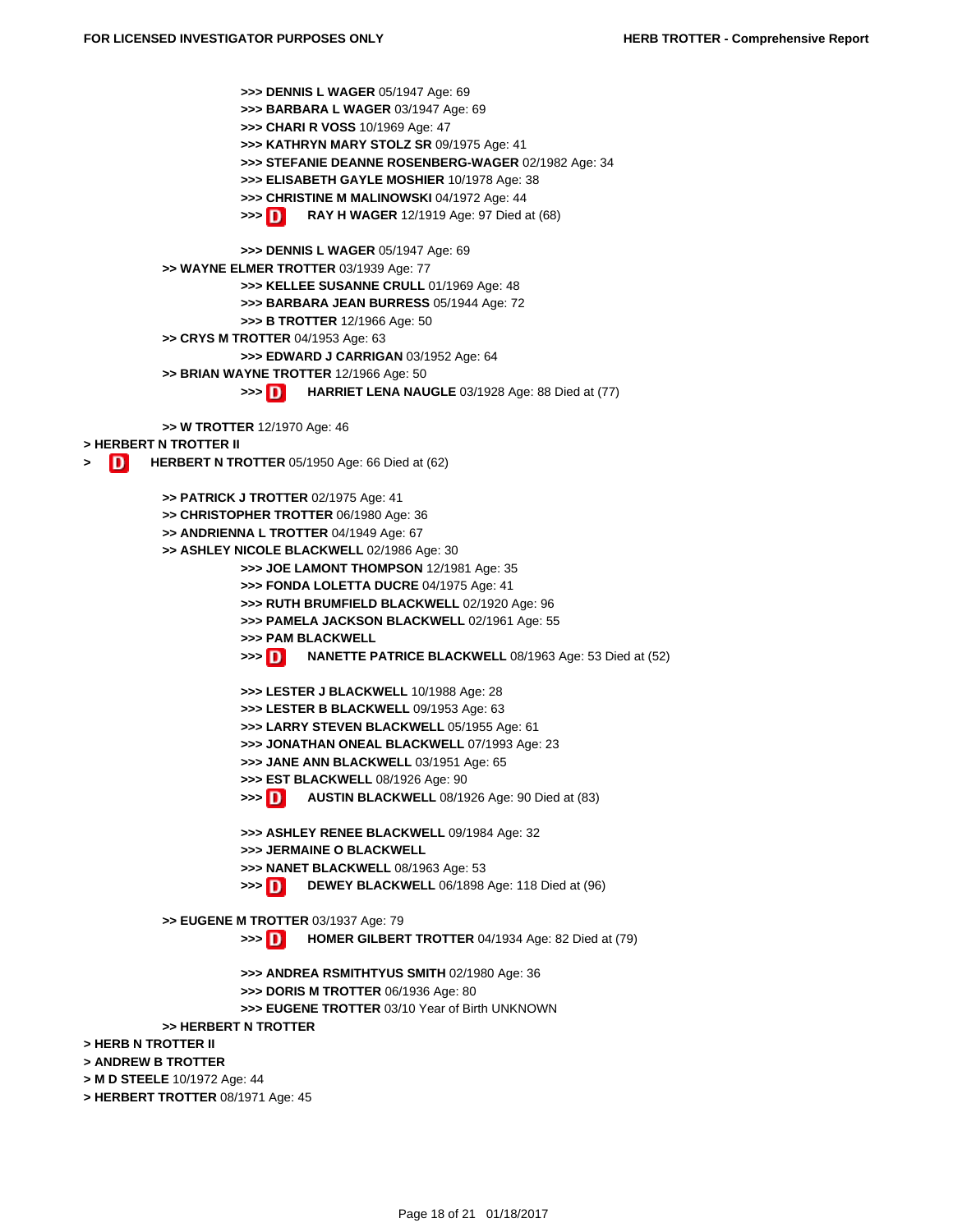**>>> DENNIS L WAGER** 05/1947 Age: 69 **>>> BARBARA L WAGER** 03/1947 Age: 69 **>>> CHARI R VOSS** 10/1969 Age: 47 **>>> KATHRYN MARY STOLZ SR** 09/1975 Age: 41 **>>> STEFANIE DEANNE ROSENBERG-WAGER** 02/1982 Age: 34 **>>> ELISABETH GAYLE MOSHIER** 10/1978 Age: 38 **>>> CHRISTINE M MALINOWSKI** 04/1972 Age: 44 **>>> RAY H WAGER** 12/1919 Age: 97 Died at (68) **>>> DENNIS L WAGER** 05/1947 Age: 69 **>> WAYNE ELMER TROTTER** 03/1939 Age: 77 **>>> KELLEE SUSANNE CRULL** 01/1969 Age: 48 **>>> BARBARA JEAN BURRESS** 05/1944 Age: 72 **>>> B TROTTER** 12/1966 Age: 50 **>> CRYS M TROTTER** 04/1953 Age: 63 **>>> EDWARD J CARRIGAN** 03/1952 Age: 64 **>> BRIAN WAYNE TROTTER** 12/1966 Age: 50 **>>> HARRIET LENA NAUGLE** 03/1928 Age: 88 Died at (77) **>> W TROTTER** 12/1970 Age: 46 **> HERBERT N TROTTER II 1 HERBERT N TROTTER** 05/1950 Age: 66 Died at (62) **>> PATRICK J TROTTER** 02/1975 Age: 41 **>> CHRISTOPHER TROTTER** 06/1980 Age: 36 **>> ANDRIENNA L TROTTER** 04/1949 Age: 67 **>> ASHLEY NICOLE BLACKWELL** 02/1986 Age: 30 **>>> JOE LAMONT THOMPSON** 12/1981 Age: 35 **>>> FONDA LOLETTA DUCRE** 04/1975 Age: 41 **>>> RUTH BRUMFIELD BLACKWELL** 02/1920 Age: 96 **>>> PAMELA JACKSON BLACKWELL** 02/1961 Age: 55 **>>> PAM BLACKWELL >>> NANETTE PATRICE BLACKWELL** 08/1963 Age: 53 Died at (52) **>>> LESTER J BLACKWELL** 10/1988 Age: 28 **>>> LESTER B BLACKWELL** 09/1953 Age: 63 **>>> LARRY STEVEN BLACKWELL** 05/1955 Age: 61 **[>>> JONATHAN ONEAL BLACKWELL](https://tloxp.tlo.com/search.php?action=search&type=PersonSearch&sd%5B%5D=INoONZda%2BMuDqaVJmZ9BOx4%2BGJC1LYVyCzgPBBgUxxdSyL9pFfbaYtRmagE9euL2ehTtqihfJnqzmpO0%2FLoMgOuZ8O6M8c1HkrxqLchRRxub%2Fbq3oxGTJCfQe8j8udEkPdJKSnTaV5TF69LHf2VZphzSS1xBFvnh6awxBJ5dnFU%3D&nonce=MTI5MzI2Njg1MjU4N2YwM2I0MGVjMTA0LjE2Mjc0NTA0)** 07/1993 Age: 23 **>>> JANE ANN BLACKWELL** 03/1951 Age: 65 **[>>> EST BLACKWELL](https://tloxp.tlo.com/search.php?action=search&type=PersonSearch&sd%5B%5D=q9dielSMFq41FPJSzYObbCS2%2BO3d3nJIMXXTGULLEpNnRak6tesv2PFRUeaqXLjV41jtopxTAZ7dh4tLZKOVWskI3RPX6Yd5dJhrN5muuN41gHYx2%2B0lTCHFFs2yeTY2Efg7S9gC%2BwxQSjbg%2FeSFHLAbNqrQoD6JA2Jbyxdv3Y4%3D&nonce=MTI5MzI2Njg1MjU4N2YwM2I0MGVjMTA0LjE2Mjc0NTA0)** 08/1926 Age: 90 **>>> AUSTIN BLACKWELL** 08/1926 Age: 90 Died at (83) **>>> ASHLEY RENEE BLACKWELL** 09/1984 Age: 32 **[>>> JERMAINE O BLACKWELL](https://tloxp.tlo.com/search.php?action=search&type=PersonSearch&sd%5B%5D=lxaSBSgl6eJuZg8Sf%2BZkmv1w050zRubxswgFxecR3eqjj0UikkfDBEBKlM9mMCd2rg1iFQz5IHkZmflKOpzQ%2B4NlfiVouScrf1k%2Fopm0XJkVKW4BcL2Kz93nKi1Tnxisnv2gBXyStOk%2FHWl6a0cx8CBjYGYOTJNxSf3OfSTIZZE%3D&nonce=MTI5MzI2Njg1MjU4N2YwM2I0MGVjMTA0LjE2Mjc0NTA0) >>> NANET BLACKWELL** 08/1963 Age: 53 **>>> [DEW](https://tloxp.tlo.com/search.php?action=search&type=PersonSearch&nonce=MTI5MzI2Njg1MjU4N2YwM2I0MGVjMTA0LjE2Mjc0NTA0&Token=XVKX-573B)EY BLACKWELL** 06/1898 Age: 118 Died at (96) **[>> EUGENE M TROTTER](https://tloxp.tlo.com/search.php?action=search&type=PersonSearch&sd%5B%5D=ya2aMxro6lcEZ3TxoOpqPisCo2hgLy5Kcg9fW8VCuGF2jASM7swWQEPvD1bTa2hR9NcRGsMnDM9dzL8FhxNrzTEJS9N2BNG4G1s9yrNjPpCoAyYdQM5N3Dc%2B6qUAVioJ2eiM3SD428Ote73m3IPH3XCisQawqCiKzmYFYHDCh1s%3D&nonce=MTI5MzI2Njg1MjU4N2YwM2I0MGVjMTA0LjE2Mjc0NTA0)** 03/1937 Age: 79 **>>> HOMER GILBERT TROTTER** 04/1934 Age: 82 Died at (79) **>>> ANDREA RSMITHTYUS SMITH** 02/1980 Age: 36 **[>>> DORIS M TROTTER](https://tloxp.tlo.com/search.php?action=search&type=PersonSearch&sd%5B%5D=YYuR6F3egWFwLv5owW%2FZnqj5IdwiEoXFNWwiIZiMILAqT6TbAzvFr73HPNbBz6eXQ8aExDC%2BpSc%2FS0X9KUnU4iHcn3588gO%2FaavjN7w4mq49X1ZUSlMjXUPYH%2F3wS1JPDGH2dzdQUvipzRcao0MEmOZiOsKNm5jC0yZHwlqWZIo%3D&nonce=MTI5MzI2Njg1MjU4N2YwM2I0MGVjMTA0LjE2Mjc0NTA0)** 06/1936 Age: 80 **>>> EUGENE TROTTER** 03/10 Year of Birth UNKNOWN **[>> HER](https://tloxp.tlo.com/search.php?action=search&type=PersonSearch&sd%5B%5D=YBClQcNyhyiJebpSwEhIvAhnVf451%2F6jWIQpqD0jzyUFNnD%2BDF5STIfGwoz2ey6gKaA787IbLvoZl%2Fi21zwzU7b1A0YD5ALcaWsku9quvaw70Mts%2ByeyOFEFWKLHaJa6EpITfELVHdFuRfEMXf8QSOQPuL4ChVw9jY5rW7q0jTc%3D&nonce=MTI5MzI2Njg1MjU4N2YwM2I0MGVjMTA0LjE2Mjc0NTA0)[BERT N TROTTER](https://tloxp.tlo.com/search.php?action=search&type=PersonSearch&nonce=MTI5MzI2Njg1MjU4N2YwM2I0MGVjMTA0LjE2Mjc0NTA0&Token=JW8T-864X) > HERB N TROTTER II [> ANDREW B TROTTER](https://tloxp.tlo.com/search.php?action=search&type=PersonSearch&sd%5B%5D=g7huyCcwKcJJwOLNFVshZMNQaH23AaHO83mg6XRnRKXLXFOgkMa175zErN09c%2FHbIXrt6ktII62RFcEZ84JsMblEufQb4xZvqZMQxm4prXuXRxtUA8yu1qrj7AUAnk%2Bmo7STBCjUI%2Bpv9I8vKBwtLbsnd%2BjtSMnbjo4Ia545iHs%3D&nonce=MTI5MzI2Njg1MjU4N2YwM2I0MGVjMTA0LjE2Mjc0NTA0) > M D STEELE** 10/1972 Age: 44 **[> HERBERT TROTT](https://tloxp.tlo.com/search.php?action=search&type=PersonSearch&sd%5B%5D=UnetgBmFlAcp2YYe1Q8zj7P8kk5GdQKxzASQ64PoWFD0ksXXgdTEXeSNtGALYC99RN%2FuYyZKcD5SnpEvJYQniEYT1ybyV%2F199TgOF8fkFHEWW1EfFgrMu1s906g6t7lwMMsG6VZIe05fYRKPsAsBi371TOLck0l9Hq99tyhIrIs%3D&nonce=MTI5MzI2Njg1MjU4N2YwM2I0MGVjMTA0LjE2Mjc0NTA0)ER** 08/1971 Age: 45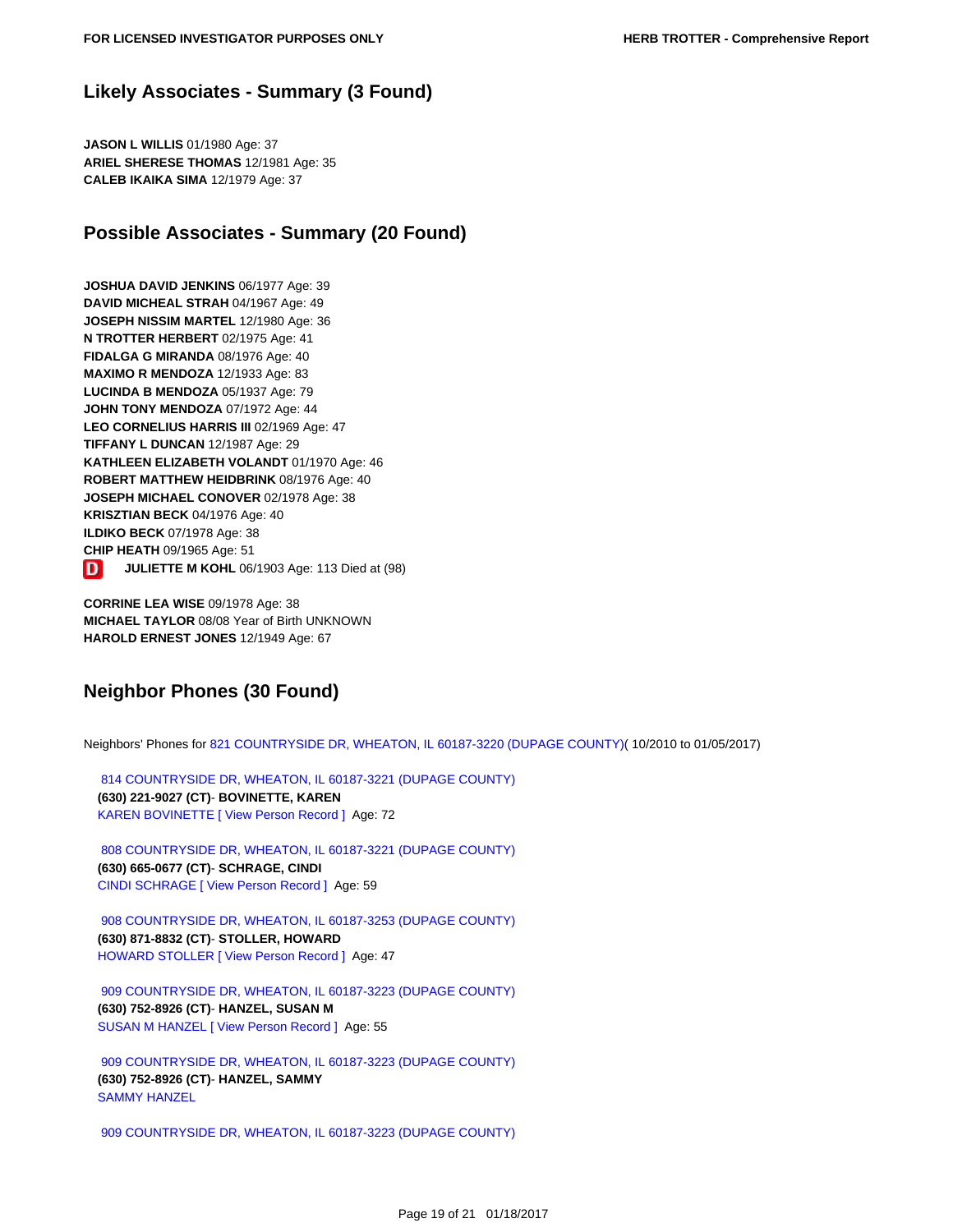## **Likely Associates - Summary (3 Found)**

**JASON L WILLIS** 01/1980 Age: 37 **ARIEL SHERESE THOMAS** 12/1981 Age: 35 **CALEB IKAIKA SIMA** 12/1979 Age: 37

## <span id="page-18-1"></span>**Possible Associates - Summary (20 Found)**

**JOSHUA DAVID JENKINS** 06/1977 Age: 39 **DAVID MICHEAL STRAH** 04/1967 Age: 49 **JOSEPH NISSIM MARTEL** 12/1980 Age: 36 **N TROTTER HERBERT** 02/1975 Age: 41 **FIDALGA G MIRANDA** 08/1976 Age: 40 **MAXIMO R MENDOZA** 12/1933 Age: 83 **LUCINDA B MENDOZA** 05/1937 Age: 79 **JOHN TONY MENDOZA** 07/1972 Age: 44 **LEO CORNELIUS HARRIS III** 02/1969 Age: 47 **TIFFANY L DUNCAN** 12/1987 Age: 29 **KATHLEEN ELIZABETH VOLANDT** 01/1970 Age: 46 **ROBERT MATTHEW HEIDBRINK** 08/1976 Age: 40 **JOSEPH MICHAEL CONOVER** 02/1978 Age: 38 **KRISZTIAN BECK** 04/1976 Age: 40 **ILDIKO BECK** 07/1978 Age: 38 **CHIP HEATH** 09/1965 Age: 51 D **JULIETTE M KOHL** 06/1903 Age: 113 Died at (98)

**CORRINE LEA WISE** 09/1978 Age: 38 **MICHAEL TAYLOR** 08/08 Year of Birth UNKNOWN **HAROLD ERNEST JONES** 12/1949 Age: 67

## <span id="page-18-2"></span>**Neighbor Phones (30 Found)**

Neighbors' Phones for [821 COUNTRYSIDE DR, WHEATON, IL 60187-3220 \(DUPAGE COUNTY\)](https://tloxp.tlo.com/search.php?action=search&type=PersonSearch&sd%5B%5D=INoONZda%2BMuDqaVJmZ9BOx4%2BGJC1LYVyCzgPBBgUxxdSyL9pFfbaYtRmagE9euL2ehTtqihfJnqzmpO0%2FLoMgOuZ8O6M8c1HkrxqLchRRxub%2Fbq3oxGTJCfQe8j8udEkPdJKSnTaV5TF69LHf2VZphzSS1xBFvnh6awxBJ5dnFU%3D&nonce=MTI5MzI2Njg1MjU4N2YwM2I0MGVjMTA0LjE2Mjc0NTA0)( 10/2010 to 01/05/2017)

 [814 COUNTRYSIDE DR, WHEATON, IL 60187-3221 \(DUPAGE COUNTY\)](https://tloxp.tlo.com/search.php?action=search&type=PersonSearch&sd%5B%5D=q9dielSMFq41FPJSzYObbCS2%2BO3d3nJIMXXTGULLEpNnRak6tesv2PFRUeaqXLjV41jtopxTAZ7dh4tLZKOVWskI3RPX6Yd5dJhrN5muuN41gHYx2%2B0lTCHFFs2yeTY2Efg7S9gC%2BwxQSjbg%2FeSFHLAbNqrQoD6JA2Jbyxdv3Y4%3D&nonce=MTI5MzI2Njg1MjU4N2YwM2I0MGVjMTA0LjE2Mjc0NTA0)  **(630) 221-9027 (CT)**- **BOVINETTE, KAREN**  [KAREN BOVINETTE](https://tloxp.tlo.com/search.php?action=search&type=PersonSearch&sd%5B%5D=ersGZ9ola%2FLcg6JB78PWTaHXa36D2LiH0LLR%2BnjsfAOEJ2VBTuJ7kGn%2BJT1qrL25sTqNNrFBk0JpkTxizKUli28qDq9FGbq%2BuaQXeSnVcr%2B%2F2x4cjyslqtkjppufdMl5UL9onOT1R53ku1OyKGBa53Wc3K8yFk24pp4PkhJFGKM%3D&nonce=MTI5MzI2Njg1MjU4N2YwM2I0MGVjMTA0LjE2Mjc0NTA0) [\[ View Person Record \]](https://tloxp.tlo.com/search.php?action=search&type=PersonSearch&nonce=MTI5MzI2Njg1MjU4N2YwM2I0MGVjMTA0LjE2Mjc0NTA0&Token=7DTF-9C3J) Age: 72

 [808 COUNTRYSIDE DR, WHEATON, IL 60187-3221 \(DUPAGE COUNTY\)](https://tloxp.tlo.com/search.php?action=search&type=PersonSearch&sd%5B%5D=lxaSBSgl6eJuZg8Sf%2BZkmv1w050zRubxswgFxecR3eqjj0UikkfDBEBKlM9mMCd2rg1iFQz5IHkZmflKOpzQ%2B4NlfiVouScrf1k%2Fopm0XJkVKW4BcL2Kz93nKi1Tnxisnv2gBXyStOk%2FHWl6a0cx8CBjYGYOTJNxSf3OfSTIZZE%3D&nonce=MTI5MzI2Njg1MjU4N2YwM2I0MGVjMTA0LjE2Mjc0NTA0)  **(630) 665-0677 (CT)**- **SCHRAGE, CINDI**  [CINDI SCHRAGE](https://tloxp.tlo.com/search.php?action=search&type=PersonSearch&sd%5B%5D=mAlJwdy7FnC6RjoJJ%2FtZm%2BALFc5dtWTF0e7tUxkjzxTauLuMLKMkdHBio4VZt2RKEMWx4%2Fa6Yjx71VTRNc%2Fe%2BDcU8a%2Fs5yA%2BeQyNaf8tmKgag5aXkRC%2F8emcHageiAaSWslAnFRsVlqcypphFf0AFT2wCz5jbmWWa8TFIe2%2F5Es%3D&nonce=MTI5MzI2Njg1MjU4N2YwM2I0MGVjMTA0LjE2Mjc0NTA0) [\[ View Person Record \]](https://tloxp.tlo.com/search.php?action=search&type=PersonSearch&nonce=MTI5MzI2Njg1MjU4N2YwM2I0MGVjMTA0LjE2Mjc0NTA0&Token=XVKX-573B) Age: 59

 [908 COUNTRYSIDE DR, WHEATON, IL 60187-3253 \(DUPAGE COUNTY\)](https://tloxp.tlo.com/search.php?action=search&type=PersonSearch&sd%5B%5D=ya2aMxro6lcEZ3TxoOpqPisCo2hgLy5Kcg9fW8VCuGF2jASM7swWQEPvD1bTa2hR9NcRGsMnDM9dzL8FhxNrzTEJS9N2BNG4G1s9yrNjPpCoAyYdQM5N3Dc%2B6qUAVioJ2eiM3SD428Ote73m3IPH3XCisQawqCiKzmYFYHDCh1s%3D&nonce=MTI5MzI2Njg1MjU4N2YwM2I0MGVjMTA0LjE2Mjc0NTA0)  **(630) 871-8832 (CT)**- **STOLLER, HOWARD**  [HOWARD STOLLER](https://tloxp.tlo.com/search.php?action=search&type=PersonSearch&sd%5B%5D=vXoGCNU8DVcm59LhT6pjKXbWqL8ykPtPKGTlVV%2B5fsTLHU77b1%2F%2BUZAHMCE4lewLdb%2FFE1u6yMfF2EIlWENyFIFLyUCla3ySwcfUr8%2B8c8VXnXGlrPWh%2BVYPJdTLelrSJCiXVybqjq7F4JTSdPWCE55kdfSYb%2FhgZp5Lp65oS00%3D&nonce=MTI5MzI2Njg1MjU4N2YwM2I0MGVjMTA0LjE2Mjc0NTA0) [\[ View Person Record \]](https://tloxp.tlo.com/search.php?action=search&type=PersonSearch&nonce=MTI5MzI2Njg1MjU4N2YwM2I0MGVjMTA0LjE2Mjc0NTA0&Token=8MMH-P43R) Age: 47

 [909 COUNTRYSIDE DR, WHEATON, IL 60187-3223 \(DUPAGE COUNTY\)](https://tloxp.tlo.com/search.php?action=search&type=PersonSearch&sd%5B%5D=YYuR6F3egWFwLv5owW%2FZnqj5IdwiEoXFNWwiIZiMILAqT6TbAzvFr73HPNbBz6eXQ8aExDC%2BpSc%2FS0X9KUnU4iHcn3588gO%2FaavjN7w4mq49X1ZUSlMjXUPYH%2F3wS1JPDGH2dzdQUvipzRcao0MEmOZiOsKNm5jC0yZHwlqWZIo%3D&nonce=MTI5MzI2Njg1MjU4N2YwM2I0MGVjMTA0LjE2Mjc0NTA0)  **(630) 752-8926 (CT)**- **HANZEL, SUSAN M**  [SUSAN M HANZEL](https://tloxp.tlo.com/search.php?action=search&type=PersonSearch&sd%5B%5D=YBClQcNyhyiJebpSwEhIvAhnVf451%2F6jWIQpqD0jzyUFNnD%2BDF5STIfGwoz2ey6gKaA787IbLvoZl%2Fi21zwzU7b1A0YD5ALcaWsku9quvaw70Mts%2ByeyOFEFWKLHaJa6EpITfELVHdFuRfEMXf8QSOQPuL4ChVw9jY5rW7q0jTc%3D&nonce=MTI5MzI2Njg1MjU4N2YwM2I0MGVjMTA0LjE2Mjc0NTA0) [\[ View Person Record \]](https://tloxp.tlo.com/search.php?action=search&type=PersonSearch&nonce=MTI5MzI2Njg1MjU4N2YwM2I0MGVjMTA0LjE2Mjc0NTA0&Token=JW8T-864X) Age: 55

 [909 COUNTRYSIDE DR, WHEATON, IL 60187-3223 \(DUPAGE COUNTY\)](https://tloxp.tlo.com/search.php?action=search&type=PersonSearch&sd%5B%5D=g7huyCcwKcJJwOLNFVshZMNQaH23AaHO83mg6XRnRKXLXFOgkMa175zErN09c%2FHbIXrt6ktII62RFcEZ84JsMblEufQb4xZvqZMQxm4prXuXRxtUA8yu1qrj7AUAnk%2Bmo7STBCjUI%2Bpv9I8vKBwtLbsnd%2BjtSMnbjo4Ia545iHs%3D&nonce=MTI5MzI2Njg1MjU4N2YwM2I0MGVjMTA0LjE2Mjc0NTA0)  **(630) 752-8926 (CT)**- **HANZEL, SAMMY**  [SAMMY HANZEL](https://tloxp.tlo.com/search.php?action=search&type=PersonSearch&sd%5B%5D=UnetgBmFlAcp2YYe1Q8zj7P8kk5GdQKxzASQ64PoWFD0ksXXgdTEXeSNtGALYC99RN%2FuYyZKcD5SnpEvJYQniEYT1ybyV%2F199TgOF8fkFHEWW1EfFgrMu1s906g6t7lwMMsG6VZIe05fYRKPsAsBi371TOLck0l9Hq99tyhIrIs%3D&nonce=MTI5MzI2Njg1MjU4N2YwM2I0MGVjMTA0LjE2Mjc0NTA0)

<span id="page-18-0"></span> [909 COUNTRYSIDE DR, WHEATON, IL 60187-3223 \(DUPAGE COUNTY\)](https://tloxp.tlo.com/search.php?action=search&type=PersonSearch&sd%5B%5D=slZr%2Bxmyheu1vwo4csIn4RQ7VxFnLEM39lZGKN9DHibdOIpJykAZ0W4Ccv%2FIM2nfdp%2FBODa6buffuCnBmrm5nEDS8IByiQdtIp1f1o37OQB7CgcWCoRGJB1dt7zllauGlIgvS%2FMLGwwfmsVAI4tMw29vnqOpB4A71Mx40AtdLjI%3D&nonce=MTI5MzI2Njg1MjU4N2YwM2I0MGVjMTA0LjE2Mjc0NTA0)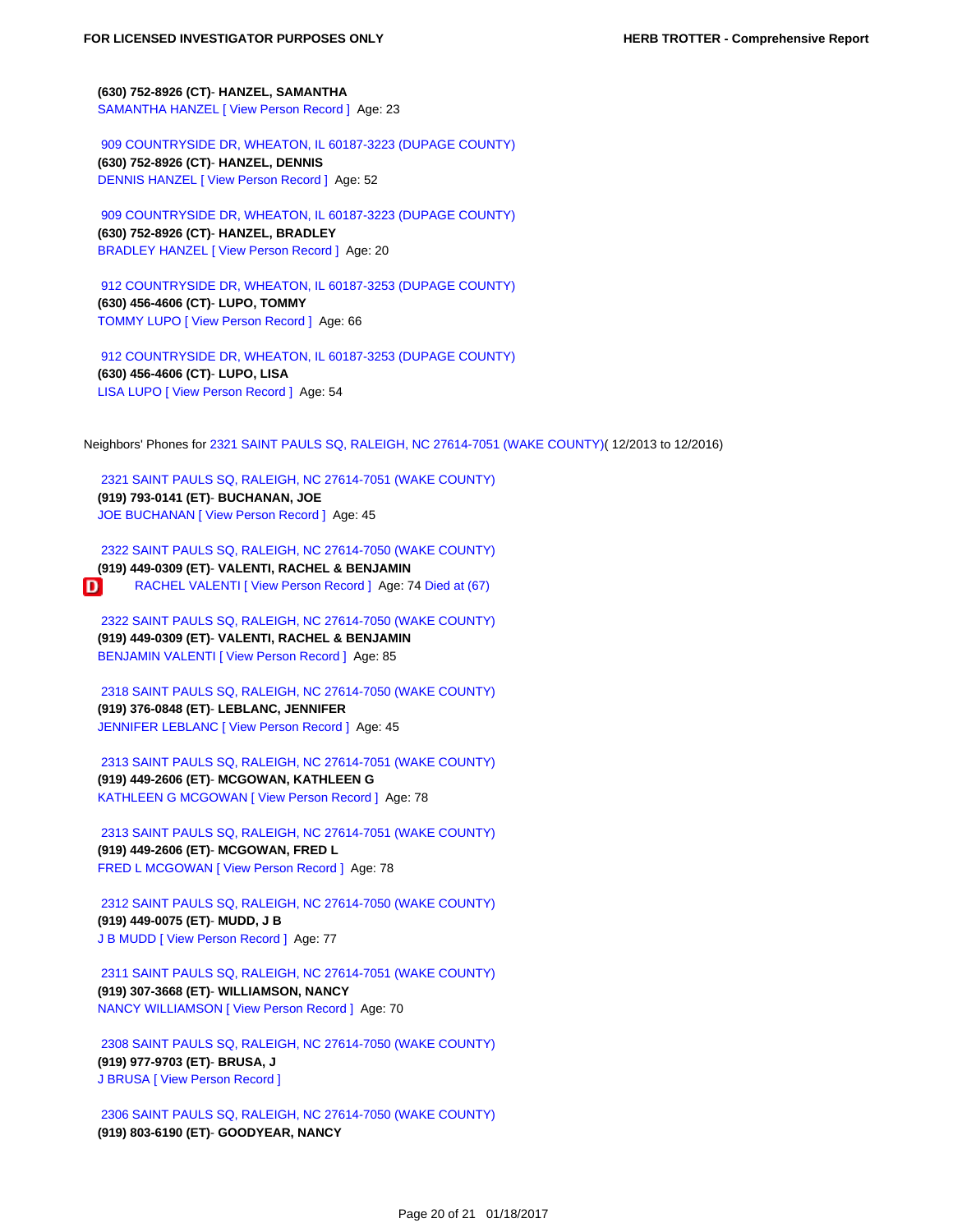**(630) 752-8926 (CT)**- **HANZEL, SAMANTHA**  [SAMANTHA HANZEL](https://tloxp.tlo.com/search.php?action=search&type=PersonSearch&sd%5B%5D=AMjBs13nO6R07%2FHJJE9w%2FyVwEsXt5XCCLfSdwaj8Lk5weEppxD17w1Jcp8531a3X86DYZvzHYdkfI3XZK1g7OG6urjog2eWBUG13pwx%2B%2BaFZ9glrYiwWJIH4LoiqivGsS%2BgVYqlpA5gALbf9KiDk9tGiv3D%2B2auakH6k1pd8Kos%3D&nonce=MTI5MzI2Njg1MjU4N2YwM2I0MGVjMTA0LjE2Mjc0NTA0) [\[ View Person Record \]](https://tloxp.tlo.com/search.php?action=search&type=PersonSearch&nonce=MTI5MzI2Njg1MjU4N2YwM2I0MGVjMTA0LjE2Mjc0NTA0&Token=1CVM-QC67) Age: 23

 [909 COUNTRYSIDE DR, WHEATON, IL 60187-3223 \(DUPAGE COUNTY\)](https://tloxp.tlo.com/search.php?action=search&type=PersonSearch&sd%5B%5D=utPEomiIKZBtCPRSIYoBND9mvDeaLVXBDrZxRv6CQNmvsmwWs0g8%2BORShFctBlApJm11yqod4UMuwqrhGcTEPZuhED0FlOzlzyoGGbimvcbDHEBMtyVJFuEAFeLWSrMb8MQzfMcGRjWbxlsAdwMFYqY4hKlcAYzlgcxxcG8uE2g%3D&nonce=MTI5MzI2Njg1MjU4N2YwM2I0MGVjMTA0LjE2Mjc0NTA0)  **(630) 752-8926 (CT)**- **HANZEL, DENNIS**  [DENNIS HANZEL](https://tloxp.tlo.com/search.php?action=search&type=PersonSearch&sd%5B%5D=xBNymuCJaKog5dLopPsj7cU6lrsEPR6f2JUQHijGT2rPv%2BOtWwBfxL1Pmcxom33gUDiC8oH74Go2%2Foqm%2Fe08fCX5zMbvtjgBUh8iUY72tcL7iGdCJUQqTSATDxOts7ZaW75ibYYDgsl0u9PhzGWUD%2FL6XUU%2B9PYJReEPjZfChtQ%3D&nonce=MTI5MzI2Njg1MjU4N2YwM2I0MGVjMTA0LjE2Mjc0NTA0) [\[ View Person Record \]](https://tloxp.tlo.com/search.php?action=search&type=PersonSearch&nonce=MTI5MzI2Njg1MjU4N2YwM2I0MGVjMTA0LjE2Mjc0NTA0&Token=LQV2-BL4J) Age: 52

 [909 COUNTRYSIDE DR, WHEATON, IL 60187-3223 \(DUPAGE COUNTY\)](https://tloxp.tlo.com/search.php?action=search&type=PersonSearch&sd%5B%5D=ooOhccPVyxvo2WFqRwZwiq3cXvwBJdEBLSqB%2FV7N3e2J5xAHZR7NGvaELneNCVnrx3pZJ29F5ivdHjDrHkm%2FgxBnMjIl26l1uug7mDxzn6pgEPvBIEinJd8zN1gByFF%2B6e8BOh1db%2BtvmGGdu2vvZvhXxG1PelUGe9GGcq%2FWCj4%3D&nonce=MTI5MzI2Njg1MjU4N2YwM2I0MGVjMTA0LjE2Mjc0NTA0)  **(630) 752-8926 (CT)**- **HANZEL, BRADLEY**  [BRADLEY HANZEL](https://tloxp.tlo.com/search.php?action=search&type=PersonSearch&sd%5B%5D=QFXsICsr0xqgPpS3ByE074gX2mxqEM8uZebEF2sq%2FP5wHIQQoVuobMSWTvOi2%2BjI%2Bq6NJ2zwKTfgVbwmu2HfKqKXkmGe0%2Fex%2F%2FS3a364KN8v4MzHzAep04Yd7%2BPNPYYVBUhsM7CiYxzud08qJvPnsGAEdTXl9%2BlrFVBu2aZZFpg%3D&nonce=MTI5MzI2Njg1MjU4N2YwM2I0MGVjMTA0LjE2Mjc0NTA0) [\[ View Person Record \]](https://tloxp.tlo.com/search.php?action=search&type=PersonSearch&nonce=MTI5MzI2Njg1MjU4N2YwM2I0MGVjMTA0LjE2Mjc0NTA0&Token=FTT5-DG92) Age: 20

 [912 COUNTRYSIDE DR, WHEATON, IL 60187-3253 \(DUPAGE COUNTY\)](https://tloxp.tlo.com/search.php?action=search&type=PersonSearch&sd%5B%5D=AvXayK9IPdlC2LJIxtD%2FtcDgwrmqWeHJ%2FQMMdA%2F3%2Fejd7XliwmLJ8fbo%2FqKlg%2FNe8cZdP%2BhMysC%2FhTcUN4b5HOao9cQoe%2BnH26ZA8PxcLAm1RHzRrmK24Dk7zHZ5LaE6qMVNAVbnFQEWBgAD1A2HxOY1XY0fjuLX02K9Z%2B11%2BDc%3D&nonce=MTI5MzI2Njg1MjU4N2YwM2I0MGVjMTA0LjE2Mjc0NTA0)  **(630) 456-4606 (CT)**- **LUPO, TOMMY**  [TOMMY LUPO](https://tloxp.tlo.com/search.php?action=search&type=PersonSearch&sd%5B%5D=JJNJ%2BoVYVkdosF5s7H60s8jF7Qg%2F1ncYT0UxKKkdJCpHLWKlSdGnOtANkt79X1i5x1u0c5CtQsJkEYGO26aqPn9u1iw%2BcWE6mbZgf1S1FusmvjwJmeTqfOYIk97j63zIBwe4zHkaM%2FfuNQ5whJhVaYeZPb8AVMekwX5SzP7MiWU%3D&nonce=MTI5MzI2Njg1MjU4N2YwM2I0MGVjMTA0LjE2Mjc0NTA0) [\[ View Person Record \]](https://tloxp.tlo.com/search.php?action=search&type=PersonSearch&nonce=MTI5MzI2Njg1MjU4N2YwM2I0MGVjMTA0LjE2Mjc0NTA0&Token=DHNX-JG3N) Age: 66

 [912 COUNTRYSIDE DR, WHEATON, IL 60187-3253 \(DUPAGE COUNTY\)](https://tloxp.tlo.com/search.php?action=search&type=PersonSearch&sd%5B%5D=ayW6%2BTDwB9bqzN7jqVNsBpHyV44klay0ER6ec7XNHHT9nClBZzIddThZ%2BZi%2BLneM6W66W1537RSEj10AEKArDb%2FzB3LPF%2BdVrHAuTG%2FA%2B%2BIwqmpV1wkfQVA158R3rtCt2WqFKRG%2BVqEmwai0R9eP1BSx%2FNuz7VTjaHOP%2F%2BEQb%2Bw%3D&nonce=MTI5MzI2Njg1MjU4N2YwM2I0MGVjMTA0LjE2Mjc0NTA0)  **(630) 456-4606 (CT)**- **LUPO, LISA**

 [LISA LUPO](https://tloxp.tlo.com/search.php?action=search&type=PersonSearch&sd%5B%5D=O9LzBH3kWFNuEuZDjwfrlnXBZoxVs3lfcRPZ9c0LMml5UK0AQ27bbyYUjK%2F4VNz5tJswkVSNCQ6V%2BgUBXMR9JrZH2yxJ6YYdbTt5sBvELauZnf%2FWVMrr3viz%2BPP9DAMQEFoWKkcPN56thp%2Feo%2B07nl3GnWVhHrPXYYcsZvn8Ruo%3D&nonce=MTI5MzI2Njg1MjU4N2YwM2I0MGVjMTA0LjE2Mjc0NTA0) [\[ View Person Record \]](https://tloxp.tlo.com/search.php?action=search&type=PersonSearch&nonce=MTI5MzI2Njg1MjU4N2YwM2I0MGVjMTA0LjE2Mjc0NTA0&Token=TNF1-J83B) Age: 54

Neighbors' Phones for [2321 SAINT PAULS SQ, RALEIGH, NC 27614-7051 \(WAKE COUNTY\)](https://tloxp.tlo.com/search.php?action=search&type=PersonSearch&sd%5B%5D=dUgVCss5YEPvMkQXZVastB6geMsMowohHFepGORyjTIi6A0A9XBSNL%2F5X%2F5vzHKezWR%2BEvDBuGKijJVDUZM4FfDgx5cnUHQqdBoCdy8t20zyO9fkHxNAVxVLEqwmpom5XKNEReKkfa0IAYG%2FftCpIqbjWpoCoRqy5LT0ns7tpR4%3D&nonce=MTI5MzI2Njg1MjU4N2YwM2I0MGVjMTA0LjE2Mjc0NTA0)( 12/2013 to 12/2016)

 [2321 SAINT PAULS SQ, RALEIGH, NC 27614-7051 \(WAKE COUNTY\)](https://tloxp.tlo.com/search.php?action=search&type=PersonSearch&sd%5B%5D=rtKKneNOd8L4V2Ku%2BgFAci2uIRZ1EEZ5IYzwe8EyxsbN5Zx%2B9uATY649EF3DgMKmAaFbCXKB6%2F0MWDv%2F6TIvHt%2BBYdQXeFR4CBdtb8RrBkUrUXYMGYyn%2F0YLZZ46uxZKDJBMoCnNZd4EbLUg6Mk7WNF4oxVVeLbQmjC4DupQTTE%3D&nonce=MTI5MzI2Njg1MjU4N2YwM2I0MGVjMTA0LjE2Mjc0NTA0)  **(919) 793-0141 (ET)**- **BUCHANAN, JOE**  [JOE BUCHANAN](https://tloxp.tlo.com/search.php?action=search&type=PersonSearch&sd%5B%5D=cs%2Fg9kt1VHystKybYuLoUKkJtopRGngjQKPCQjljArxE93OmYML%2F03ymsxd6krXZOQLGiZmOXbKOjKIOkmq%2FF3qNpHHCC%2Bq%2FvQ1wKe3A1oSQqqfeuLkMUnlKYIZsxXhn8VPN%2FwLWD6koLfaijo3rxjDGZO4RnN428Gfg%2BbZZMx4%3D&nonce=MTI5MzI2Njg1MjU4N2YwM2I0MGVjMTA0LjE2Mjc0NTA0) [\[ View Person Record \]](https://tloxp.tlo.com/search.php?action=search&type=PersonSearch&nonce=MTI5MzI2Njg1MjU4N2YwM2I0MGVjMTA0LjE2Mjc0NTA0&Token=BQ9L-LJ3X) Age: 45

 [2322 SAINT PAULS SQ, RALEIGH, NC 27614-7050 \(WAKE COUNTY\)](https://tloxp.tlo.com/search.php?action=search&type=PersonSearch&sd%5B%5D=yM%2BoNkdhsVLZyXJglPIRbMQAaryR3OrHMGODTApG2WT5T1RK1PCfbmCc9u3TP%2Bu4QE7nYJuumL6wnfhTEp%2BiSJIvJs15n4kRPQANBIoW9p710x9f%2FK5h%2FxRhZqWiqrDkyYUJexoGBt53KbGEo2HKPsJhLsFIoUjEq1LEA%2Fv45I8%3D&nonce=MTI5MzI2Njg1MjU4N2YwM2I0MGVjMTA0LjE2Mjc0NTA0)  **(919) 449-0309 (ET)**- **VALENTI, RACHEL & BENJAMIN** D RACHEL VALENTI [\[ View Person Record \]](https://tloxp.tlo.com/search.php?action=search&type=PersonSearch&nonce=MTI5MzI2Njg1MjU4N2YwM2I0MGVjMTA0LjE2Mjc0NTA0&Token=3N6X-D947) Age: 74 [Died at \(67\)](https://tloxp.tlo.com/search.php?action=search&type=DeathMasterSearch&nonce=MTI5MzI2Njg1MjU4N2YwM2I0MGVjMTA0LjE2Mjc0NTA0&Token=3N6X-D947)

 [2322 SAINT PAULS SQ, RALEIGH, NC 27614-7050 \(WAKE COUNTY\)](https://tloxp.tlo.com/search.php?action=search&type=PersonSearch&sd%5B%5D=pAHldzLPyYoj3MZiDfzH%2FMi0%2Fa5Q96XCB1Jed4crPgvn9yhUuIct%2BQ%2BFijlAkOLbsG7A75olA8D7Rhch87WIsCsCXb%2BUK%2BR%2BXoh4AXY1YBot4OByTviclj9Rv%2BQE2eyqMWu9c%2FZS3u8YbOjIHJl1fYFuGlVb6naNMwuqiXC1IZc%3D&nonce=MTI5MzI2Njg1MjU4N2YwM2I0MGVjMTA0LjE2Mjc0NTA0)  **(919) 449-0309 (ET)**- **VALENTI, RACHEL & BENJAMIN**  [BENJAMIN VALENTI](https://tloxp.tlo.com/search.php?action=search&type=PersonSearch&sd%5B%5D=KreUoE5ozcZiKjE%2FBhXYPuIkiNpbsuK2WamJBXJRTI3cK4bAnE2BBEGFYBou8Sk30XWHIXb1AAm3F6TKcw75wpHyBtsLRxmttZtzHwfvEwJYz9NQfgiTZ3JOdnnaBNhQ6jRLTvi4LQYLHyurzZP%2BveMJhKun8tssrznf%2BlnODEI%3D&nonce=MTI5MzI2Njg1MjU4N2YwM2I0MGVjMTA0LjE2Mjc0NTA0) [\[ View Person Record \]](https://tloxp.tlo.com/search.php?action=search&type=PersonSearch&nonce=MTI5MzI2Njg1MjU4N2YwM2I0MGVjMTA0LjE2Mjc0NTA0&Token=2X6F-633W) Age: 85

 [2318 SAINT PAULS SQ, RALEIGH, NC 27614-7050 \(WAKE COUNTY\)](https://tloxp.tlo.com/search.php?action=search&type=PersonSearch&sd%5B%5D=KbVRBAw%2Bv8JCt3lPHArTtvGtQ4nyh45epMipzYkRG83Q%2BaOUuqsntxKsIePPm3ZyMI5ZcGxORA6Ut9SowFzIfCD9Lhiws%2Fvc5P4LLFK0duOrqRyamgDvwGasKutXYK47KI2YAC516%2FG9oxMq9ppu%2F3tqdmdTcKqvWAf%2B7klOH30%3D&nonce=MTI5MzI2Njg1MjU4N2YwM2I0MGVjMTA0LjE2Mjc0NTA0)  **(919) 376-0848 (ET)**- **LEBLANC, JENNIFER**  [JENNIFER LEBLANC](https://tloxp.tlo.com/search.php?action=search&type=PersonSearch&sd%5B%5D=Fci%2BazB2%2BIQ2cl2r6jAndmwk3p0mjiFZLKq1nhw%2BPG2Qye1OhOlvncV%2FtgGkDhRZMq8qZYY%2FAE0DUFvWaQXuxc8xcPBcCGXoBtSKqZCGlon0BYojUU9QJ0FKNMWp%2BYvlLYzOUNsii7RJB3A8VAYazYQTdrTLJabCVbF9ECX4Uck%3D&nonce=MTI5MzI2Njg1MjU4N2YwM2I0MGVjMTA0LjE2Mjc0NTA0) [\[ View Person Record \]](https://tloxp.tlo.com/search.php?action=search&type=PersonSearch&nonce=MTI5MzI2Njg1MjU4N2YwM2I0MGVjMTA0LjE2Mjc0NTA0&Token=PKNG-MQ35) Age: 45

 [2313 SAINT PAULS SQ, RALEIGH, NC 27614-7051 \(WAKE COUNTY\)](https://tloxp.tlo.com/search.php?action=search&type=PersonSearch&sd%5B%5D=qzwqn%2B6p%2F%2F6fAMG6gnM4Eg3j3PjepdOUCyQogxGh3eAx2Ef2qirLYTFI4JSN4q%2FJIz%2BXWnXC0etItB2hjqOUeqWsZvsnLDjmZzCNWDehg3VxIrBiAmUJxLFg63UbNU7z6wvtgY7fJwXWRKNaYYsbu2Tt0VfxO4tRTOng9ox6bq4%3D&nonce=MTI5MzI2Njg1MjU4N2YwM2I0MGVjMTA0LjE2Mjc0NTA0)  **(919) 449-2606 (ET)**- **MCGOWAN, KATHLEEN G**  [KATHLEEN G MCGOWAN](https://tloxp.tlo.com/search.php?action=search&type=PersonSearch&sd%5B%5D=SQ2UTnuuiNLn1nefGC%2FBYLZcxfVhy%2FgU0lBqoNEk32Y%2BTSuPpQWwWYD255er65AgzSdZGy2BwgiSFJ%2BpLpGrV%2FJHkIScLUsLWAPwfJOvi5gARt5SA4QlTz%2BioQWmPnbcWO3jVuXWmEwJ1g5TYqtuFuOd5%2Bly7lhq4VIs9atB0v4%3D&nonce=MTI5MzI2Njg1MjU4N2YwM2I0MGVjMTA0LjE2Mjc0NTA0) [\[ View Person Record \]](https://tloxp.tlo.com/search.php?action=search&type=PersonSearch&nonce=MTI5MzI2Njg1MjU4N2YwM2I0MGVjMTA0LjE2Mjc0NTA0&Token=8X2Y-FF4T) Age: 78

 [2313 SAINT PAULS SQ, RALEIGH, NC 27614-7051 \(WAKE COUNTY\)](https://tloxp.tlo.com/search.php?action=search&type=PersonSearch&sd%5B%5D=fJ02iHxxl6ZA7bWwMLB66LOucRyaYtiFuewoAxe2MAWuZzRKaSrIGnrXbyUsxs4e3GcLhk1Oufm0h7QECYd1ErOXBHsAExQ1VdCE4%2B8wHkCsfJRcp3TOJQGVWaxpg2ummYRJkKXZ16o95PUryg9SLsHJxk7FWo%2BSizuv1YAvyp4%3D&nonce=MTI5MzI2Njg1MjU4N2YwM2I0MGVjMTA0LjE2Mjc0NTA0)  **(919) 449-2606 (ET)**- **MCGOWAN, FRED L**  [FRED L MCGOWAN](https://tloxp.tlo.com/search.php?action=search&type=PersonSearch&sd%5B%5D=RaEuNiAZYQoc05iHfrD%2F4MXSRnqAG5hDcEG3mWI65ZBMcunZagRHIQ9w%2BKIpOy%2FYfskh5AmxD5t9w%2F1y0WVPpq%2FaTJIhvSY3TbH7OFU7eVrcOibOXlWn4Kwm8p51oVQrpQKCshZH8n3hCdPy1y%2BAAirrScIFbMMbq%2FU9P5%2BaskA%3D&nonce=MTI5MzI2Njg1MjU4N2YwM2I0MGVjMTA0LjE2Mjc0NTA0) [\[ View Person Record \]](https://tloxp.tlo.com/search.php?action=search&type=PersonSearch&nonce=MTI5MzI2Njg1MjU4N2YwM2I0MGVjMTA0LjE2Mjc0NTA0&Token=9QC1-5D4N) Age: 78

 [2312 SAINT PAULS SQ, RALEIGH, NC 27614-7050 \(WAKE COUNTY\)](https://tloxp.tlo.com/search.php?action=search&type=PersonSearch&sd%5B%5D=xt2L56xugFUFS1GN9HQ9DtplGmwDmkbnYXcuNwrzsg2p1WE7WGNmymdemGbN%2FsrpPYHAkJzLx%2FYlhkSZjpLdd03KAvoDgubcNymRj5FRtJ3d33VHpUyyXgbwgx%2FZXTH9GIRwEhovNsedEWNFLxqyxKz6dyzgSQrWWKdRkD9B2DM%3D&nonce=MTI5MzI2Njg1MjU4N2YwM2I0MGVjMTA0LjE2Mjc0NTA0)  **(919) 449-0075 (ET)**- **MUDD, J B**  [J B MUDD](https://tloxp.tlo.com/search.php?action=search&type=PersonSearch&sd%5B%5D=uCUgSF%2FuphwuXvUJgnFG%2F8mrJX66sMfPMb11eD1%2Fxi6If%2BEVrTQjpaHoT6gTlzoxecxzU1SChgXAHT5HxC9SgfYs0dUsK9qCVC6TKAV7IM4%2BKnRNDXCOtll8OBCL%2Bwagd7VIkpLh8xVgbbJbcvo3ANsM0q0G9B6YRRvH3a17qSI%3D&nonce=MTI5MzI2Njg1MjU4N2YwM2I0MGVjMTA0LjE2Mjc0NTA0) [\[ View Person Record \]](https://tloxp.tlo.com/search.php?action=search&type=PersonSearch&nonce=MTI5MzI2Njg1MjU4N2YwM2I0MGVjMTA0LjE2Mjc0NTA0&Token=CG8J-193P) Age: 77

 [2311 SAINT PAULS SQ, RALEIGH, NC 27614-7051 \(WAKE COUNTY\)](https://tloxp.tlo.com/search.php?action=search&type=PersonSearch&sd%5B%5D=B1HMv%2Bp7Y3MJQ6Vqb8NWPvmMu1xqli2ycc91kwM17bv88l1EFI6sgGKAYysAW2ieOz59L%2BUg2FJbxOTo%2BvNk%2BFVEi%2FFBwwds0UDSKTED9WE5Idy88OOljGLvege9wzU0uy4ru0PpFHqAI4BLs7HM0rlGLPgAUaqMXi2jSsIkEjY%3D&nonce=MTI5MzI2Njg1MjU4N2YwM2I0MGVjMTA0LjE2Mjc0NTA0)  **(919) 307-3668 (ET)**- **WILLIAMSON, NANCY**  [NANCY WILLIAMSON](https://tloxp.tlo.com/search.php?action=search&type=PersonSearch&sd%5B%5D=EARHIhgBPR8W9ZULDl0nFEfXabq3bTUgg1DDMgbkqfwkp8RPldRQoShNBJPJnhTYKMsNMsPs9h4kB993Vnewkh4bVHsqcBzp%2BSldPTWPNTaL4VQyhUMOe0b7QAuRnit5i0%2FBy9fi%2B86ioGXolUFbujJe4f3Fs84sLCiCZaqKUUw%3D&nonce=MTI5MzI2Njg1MjU4N2YwM2I0MGVjMTA0LjE2Mjc0NTA0) [\[ View Person Record \]](https://tloxp.tlo.com/search.php?action=search&type=PersonSearch&nonce=MTI5MzI2Njg1MjU4N2YwM2I0MGVjMTA0LjE2Mjc0NTA0&Token=XXFB-2Y3B) Age: 70

 [2308 SAINT PAULS SQ, RALEIGH, NC 27614-7050 \(WAKE COUNTY\)](https://tloxp.tlo.com/search.php?action=search&type=PersonSearch&sd%5B%5D=DiePXNtjQxzOHiL8dbvJ2qx%2FvHoau5O5tD1eAJqHAgI2vGFOpOKy9ew7loibbqoJlcAzC79SKNP%2FYemcavqHNrkSCb%2Fr40HdYct%2F2qDUOz487Wn%2FURA1hl8YuncAfsNDNyDGL5%2BF2TDqzSNFZ2L6z6TQAV198QEmwGS%2FMysuaUU%3D&nonce=MTI5MzI2Njg1MjU4N2YwM2I0MGVjMTA0LjE2Mjc0NTA0)  **(919) 977-9703 (ET)**- **BRUSA, J**  [J BRUSA](https://tloxp.tlo.com/search.php?action=search&type=PersonSearch&sd%5B%5D=kXRBQulIMvZTn5SLO3lc3G8m67SU8NDuRzvahK5YN7Bzhci%2FzW67uemAW8uc4KwkaT0ZqnS3m58MIGPfl8JqrvHtWkmh9M3vpSEg8krzYq8mdhTQfug7ds4DXcPl4lsJC7hieUcmNZSk1PJfUZMTAfX4Il1GIs1Mc1NWEjo4yq8%3D&nonce=MTI5MzI2Njg1MjU4N2YwM2I0MGVjMTA0LjE2Mjc0NTA0) [\[ View Person Record \]](https://tloxp.tlo.com/search.php?action=search&type=PersonSearch&nonce=MTI5MzI2Njg1MjU4N2YwM2I0MGVjMTA0LjE2Mjc0NTA0&Token=YQHK-NM1G)

 [2306 SAINT PAULS SQ, RALEIGH, NC 27614-7050 \(WAKE COUNTY\)](https://tloxp.tlo.com/search.php?action=search&type=PersonSearch&sd%5B%5D=wYJogq4NdQm2J7EQCtGSPU78QYuQ9GfBd6CZZdeKhVRNpREFeRMNE5RWZ7GvUsiPZUuecyhxPDkobeYf%2BU2iNdg2NUHK9iQE4rsd6M3RjrN6OUMg0Mkt%2B3QGa633YwdORnQQxqMMVySnsFognU6aPJ4BypNuSay3h1pRkl2mE1Q%3D&nonce=MTI5MzI2Njg1MjU4N2YwM2I0MGVjMTA0LjE2Mjc0NTA0)  **(919) 803-6190 (ET)**- **GOODYEAR, NANCY**